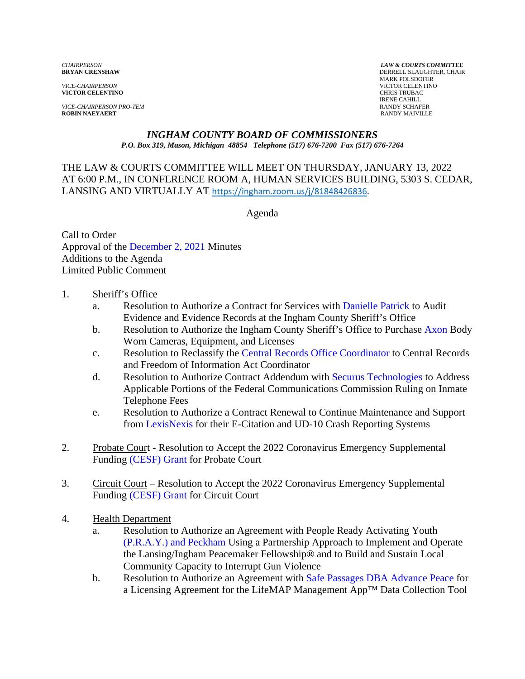*VICE-CHAIRPERSON* VICTOR CELENTINO **VICTOR CELENTINO** 

*VICE-CHAIRPERSON PRO-TEM* **RANDY SCHAFER**<br> **RANDY MAIRVALER**<br> **RANDY MAIVILLE ROBIN NAEYAERT** 

*CHAIRPERSON LAW & COURTS COMMITTEE* **DERRELL SLAUGHTER, CHAIR**  MARK POLSDOFER IRENE CAHILL

# *INGHAM COUNTY BOARD OF COMMISSIONERS*

*P.O. Box 319, Mason, Michigan 48854 Telephone (517) 676-7200 Fax (517) 676-7264*

THE LAW & COURTS COMMITTEE WILL MEET ON THURSDAY, JANUARY 13, 2022 AT 6:00 P.M., IN CONFER[ENCE ROOM A, HUMAN SERVICES BUILDING, 5](https://ingham.zoom.us/j/81848426836)303 S. CEDAR, LANSING AND VIRTUALLY AT https://ingham.zoom.us/j/81848426836.

Agenda

Call to Order Approval of [the December 2,](#page-2-0) 2021 Minutes Additions to the Agenda Limited Public Comment

- 1. Sheriff's Office
	- a. Resolution to Authorize a Contract for Services [with Danielle Patrick to Au](#page-11-0)dit Evidence and Evidence Records at the Ingham County Sheriff's Office
	- b. Resolution to Authorize the Ingham County Sheriff's Office to Pur[chase Axon Body](#page-13-0) Worn Cameras, Equipment, and Licenses
	- c. Resolution to Reclassify t[he Central Records Office Coordinator to](#page-15-0) Central Records and Freedom of Information Act Coordinator
	- d. Resolution to Authorize Contract Addendum with Securus Technologies to Address Applicable Portions of the Federal Commu[nications Commission Ruling on In](#page-20-0)mate Telephone Fees
	- e. Resolution to Authorize a Contract Renewal to Continue Maintenance and Support fr[om LexisNexis for their E-](#page-22-0)Citation and UD-10 Crash Reporting Systems
- 2. Probate Court Resolution to Accept the 2022 Coronavirus Emergency Supplemental Fun[ding \(CESF\) Grant for Probat](#page-24-0)e Court
- 3. Circuit Court Resolution to Accept the 2022 Coronavirus Emergency Supplemental Fun[ding \(CESF\) Grant for Circuit Co](#page-26-0)urt
- 4. Health Department
	- a. Resolution to Authorize an Agreement with People Ready Activating Youth [\(P.R.A.Y.\) and Peckham Using a](#page-28-0) Partnership Approach to Implement and Operate the Lansing/Ingham Peacemaker Fellowship® and to Build and Sustain Local Community Capacity to Interrupt Gun Violence
	- b. Resolution to Authorize an Agreement w[ith Safe Passages DBA Advance Peace for](#page-32-0) a Licensing Agreement for the LifeMAP Management App™ Data Collection Tool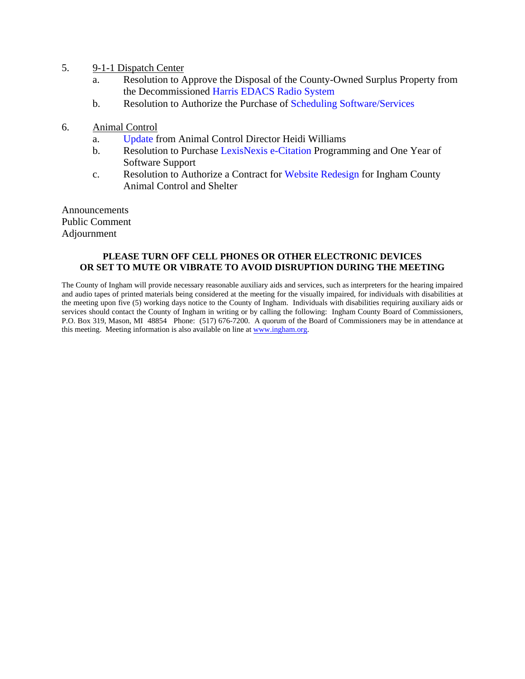- 5. 9-1-1 Dispatch Center
	- a. Resolution to Approve the Disposal of the County-Owned Surplus Property from the Decommissio[ned Harris EDACS Radio System](#page-35-0)
	- b. Resolution to Authorize the Purchase o[f Scheduling Software/Services](#page-38-0)
- 6. Animal Control
	- a. [Update from](#page-40-0) Animal Control Director Heidi Williams
	- b. Resolution to Purchase LexisNexis [e-Citation Progr](#page-41-0)amming and One Year of Software Support
	- c. Resolution to Authorize a Contract [for Website Redesign for Ingha](#page-43-0)m County Animal Control and Shelter

Announcements Public Comment Adjournment

#### **PLEASE TURN OFF CELL PHONES OR OTHER ELECTRONIC DEVICES OR SET TO MUTE OR VIBRATE TO AVOID DISRUPTION DURING THE MEETING**

The County of Ingham will provide necessary reasonable auxiliary aids and services, such as interpreters for the hearing impaired and audio tapes of printed materials being considered at the meeting for the visually impaired, for individuals with disabilities at the meeting upon five (5) working days notice to the County of Ingham. Individuals with disabilities requiring auxiliary aids or services should contact the County of Ingham in writing or by calling the following: Ingham County Board of Commissioners, P.O. Box 319, Mason, MI 48854 Phone: (517) 676-7200. A quorum of the Board of Commissioners may be in attendance at this meeting. Meeting information is also available on line at www.ingham.org.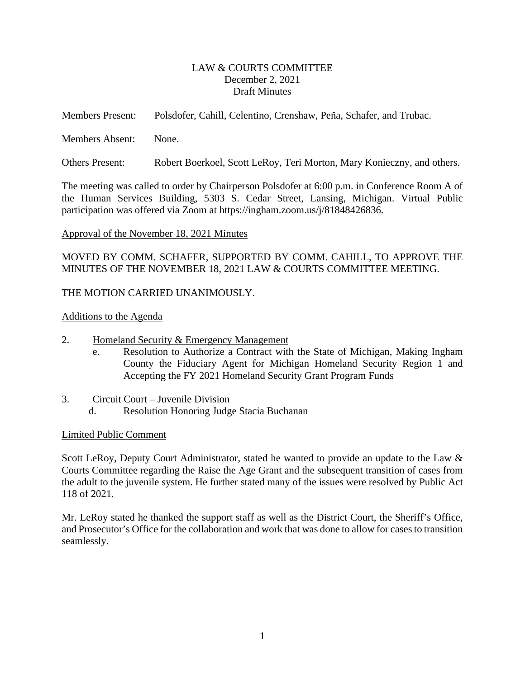### LAW & COURTS COMMITTEE December 2, 2021 Draft Minutes

<span id="page-2-0"></span>

| <b>Members Present:</b> |  | Polsdofer, Cahill, Celentino, Crenshaw, Peña, Schafer, and Trubac. |  |  |
|-------------------------|--|--------------------------------------------------------------------|--|--|
|-------------------------|--|--------------------------------------------------------------------|--|--|

Members Absent: None.

Others Present: Robert Boerkoel, Scott LeRoy, Teri Morton, Mary Konieczny, and others.

The meeting was called to order by Chairperson Polsdofer at 6:00 p.m. in Conference Room A of the Human Services Building, 5303 S. Cedar Street, Lansing, Michigan. Virtual Public participation was offered via Zoom at https://ingham.zoom.us/j/81848426836.

#### Approval of the November 18, 2021 Minutes

MOVED BY COMM. SCHAFER, SUPPORTED BY COMM. CAHILL, TO APPROVE THE MINUTES OF THE NOVEMBER 18, 2021 LAW & COURTS COMMITTEE MEETING.

### THE MOTION CARRIED UNANIMOUSLY.

#### Additions to the Agenda

- 2. Homeland Security & Emergency Management
	- e. Resolution to Authorize a Contract with the State of Michigan, Making Ingham County the Fiduciary Agent for Michigan Homeland Security Region 1 and Accepting the FY 2021 Homeland Security Grant Program Funds
- 3. Circuit Court Juvenile Division d. Resolution Honoring Judge Stacia Buchanan

#### Limited Public Comment

Scott LeRoy, Deputy Court Administrator, stated he wanted to provide an update to the Law & Courts Committee regarding the Raise the Age Grant and the subsequent transition of cases from the adult to the juvenile system. He further stated many of the issues were resolved by Public Act 118 of 2021.

Mr. LeRoy stated he thanked the support staff as well as the District Court, the Sheriff's Office, and Prosecutor's Office for the collaboration and work that was done to allow for cases to transition seamlessly.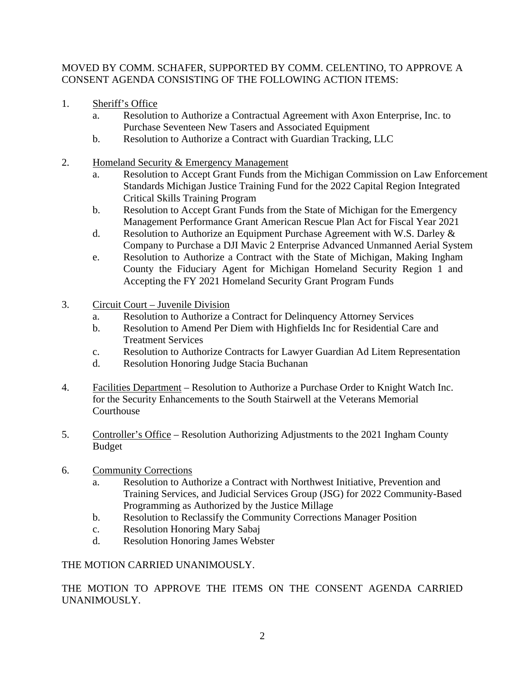# MOVED BY COMM. SCHAFER, SUPPORTED BY COMM. CELENTINO, TO APPROVE A CONSENT AGENDA CONSISTING OF THE FOLLOWING ACTION ITEMS:

- 1. Sheriff's Office
	- a. Resolution to Authorize a Contractual Agreement with Axon Enterprise, Inc. to Purchase Seventeen New Tasers and Associated Equipment
	- b. Resolution to Authorize a Contract with Guardian Tracking, LLC
- 2. Homeland Security & Emergency Management
	- a. Resolution to Accept Grant Funds from the Michigan Commission on Law Enforcement Standards Michigan Justice Training Fund for the 2022 Capital Region Integrated Critical Skills Training Program
	- b. Resolution to Accept Grant Funds from the State of Michigan for the Emergency Management Performance Grant American Rescue Plan Act for Fiscal Year 2021
	- d. Resolution to Authorize an Equipment Purchase Agreement with W.S. Darley & Company to Purchase a DJI Mavic 2 Enterprise Advanced Unmanned Aerial System
	- e. Resolution to Authorize a Contract with the State of Michigan, Making Ingham County the Fiduciary Agent for Michigan Homeland Security Region 1 and Accepting the FY 2021 Homeland Security Grant Program Funds
- 3. Circuit Court Juvenile Division
	- a. Resolution to Authorize a Contract for Delinquency Attorney Services
	- b. Resolution to Amend Per Diem with Highfields Inc for Residential Care and Treatment Services
	- c. Resolution to Authorize Contracts for Lawyer Guardian Ad Litem Representation
	- d. Resolution Honoring Judge Stacia Buchanan
- 4. Facilities Department Resolution to Authorize a Purchase Order to Knight Watch Inc. for the Security Enhancements to the South Stairwell at the Veterans Memorial **Courthouse**
- 5. Controller's Office Resolution Authorizing Adjustments to the 2021 Ingham County Budget
- 6. Community Corrections
	- a. Resolution to Authorize a Contract with Northwest Initiative, Prevention and Training Services, and Judicial Services Group (JSG) for 2022 Community-Based Programming as Authorized by the Justice Millage
	- b. Resolution to Reclassify the Community Corrections Manager Position
	- c. Resolution Honoring Mary Sabaj
	- d. Resolution Honoring James Webster

# THE MOTION CARRIED UNANIMOUSLY.

THE MOTION TO APPROVE THE ITEMS ON THE CONSENT AGENDA CARRIED UNANIMOUSLY.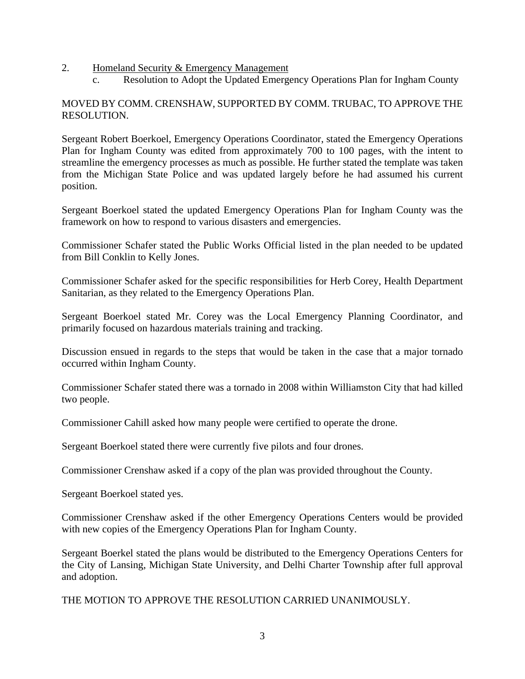### 2. Homeland Security & Emergency Management

c. Resolution to Adopt the Updated Emergency Operations Plan for Ingham County

## MOVED BY COMM. CRENSHAW, SUPPORTED BY COMM. TRUBAC, TO APPROVE THE RESOLUTION.

Sergeant Robert Boerkoel, Emergency Operations Coordinator, stated the Emergency Operations Plan for Ingham County was edited from approximately 700 to 100 pages, with the intent to streamline the emergency processes as much as possible. He further stated the template was taken from the Michigan State Police and was updated largely before he had assumed his current position.

Sergeant Boerkoel stated the updated Emergency Operations Plan for Ingham County was the framework on how to respond to various disasters and emergencies.

Commissioner Schafer stated the Public Works Official listed in the plan needed to be updated from Bill Conklin to Kelly Jones.

Commissioner Schafer asked for the specific responsibilities for Herb Corey, Health Department Sanitarian, as they related to the Emergency Operations Plan.

Sergeant Boerkoel stated Mr. Corey was the Local Emergency Planning Coordinator, and primarily focused on hazardous materials training and tracking.

Discussion ensued in regards to the steps that would be taken in the case that a major tornado occurred within Ingham County.

Commissioner Schafer stated there was a tornado in 2008 within Williamston City that had killed two people.

Commissioner Cahill asked how many people were certified to operate the drone.

Sergeant Boerkoel stated there were currently five pilots and four drones.

Commissioner Crenshaw asked if a copy of the plan was provided throughout the County.

Sergeant Boerkoel stated yes.

Commissioner Crenshaw asked if the other Emergency Operations Centers would be provided with new copies of the Emergency Operations Plan for Ingham County.

Sergeant Boerkel stated the plans would be distributed to the Emergency Operations Centers for the City of Lansing, Michigan State University, and Delhi Charter Township after full approval and adoption.

THE MOTION TO APPROVE THE RESOLUTION CARRIED UNANIMOUSLY.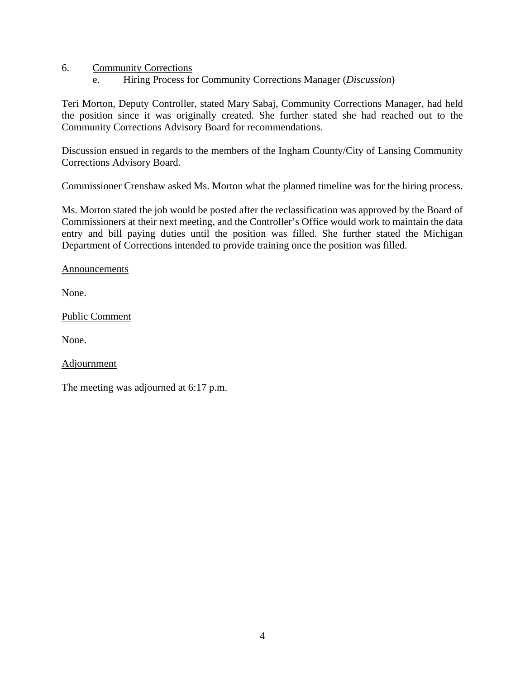- 6. Community Corrections
	- e. Hiring Process for Community Corrections Manager (*Discussion*)

Teri Morton, Deputy Controller, stated Mary Sabaj, Community Corrections Manager, had held the position since it was originally created. She further stated she had reached out to the Community Corrections Advisory Board for recommendations.

Discussion ensued in regards to the members of the Ingham County/City of Lansing Community Corrections Advisory Board.

Commissioner Crenshaw asked Ms. Morton what the planned timeline was for the hiring process.

Ms. Morton stated the job would be posted after the reclassification was approved by the Board of Commissioners at their next meeting, and the Controller's Office would work to maintain the data entry and bill paying duties until the position was filled. She further stated the Michigan Department of Corrections intended to provide training once the position was filled.

#### Announcements

None.

Public Comment

None.

**Adjournment** 

The meeting was adjourned at 6:17 p.m.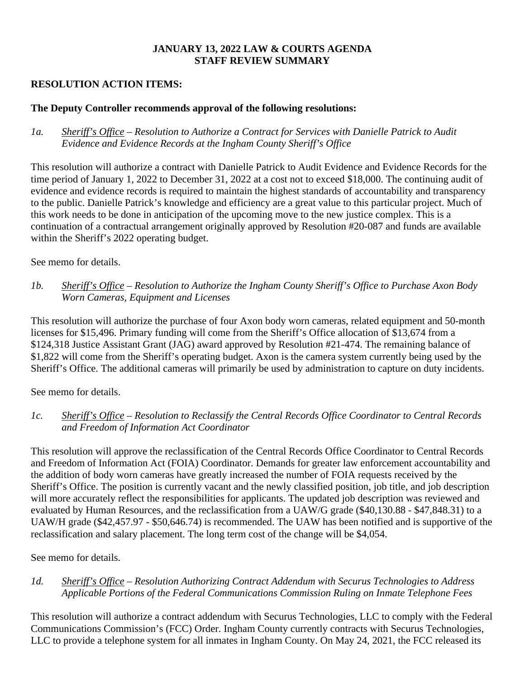## **JANUARY 13, 2022 LAW & COURTS AGENDA STAFF REVIEW SUMMARY**

# **RESOLUTION ACTION ITEMS:**

# **The Deputy Controller recommends approval of the following resolutions:**

*1a. Sheriff's Office – Resolution to Authorize a Contract for Services with Danielle Patrick to Audit Evidence and Evidence Records at the Ingham County Sheriff's Office* 

This resolution will authorize a contract with Danielle Patrick to Audit Evidence and Evidence Records for the time period of January 1, 2022 to December 31, 2022 at a cost not to exceed \$18,000. The continuing audit of evidence and evidence records is required to maintain the highest standards of accountability and transparency to the public. Danielle Patrick's knowledge and efficiency are a great value to this particular project. Much of this work needs to be done in anticipation of the upcoming move to the new justice complex. This is a continuation of a contractual arrangement originally approved by Resolution #20-087 and funds are available within the Sheriff's 2022 operating budget.

See memo for details.

*1b. Sheriff's Office – Resolution to Authorize the Ingham County Sheriff's Office to Purchase Axon Body Worn Cameras, Equipment and Licenses* 

This resolution will authorize the purchase of four Axon body worn cameras, related equipment and 50-month licenses for \$15,496. Primary funding will come from the Sheriff's Office allocation of \$13,674 from a \$124,318 Justice Assistant Grant (JAG) award approved by Resolution #21-474. The remaining balance of \$1,822 will come from the Sheriff's operating budget. Axon is the camera system currently being used by the Sheriff's Office. The additional cameras will primarily be used by administration to capture on duty incidents.

See memo for details.

*1c. Sheriff's Office – Resolution to Reclassify the Central Records Office Coordinator to Central Records and Freedom of Information Act Coordinator*

This resolution will approve the reclassification of the Central Records Office Coordinator to Central Records and Freedom of Information Act (FOIA) Coordinator. Demands for greater law enforcement accountability and the addition of body worn cameras have greatly increased the number of FOIA requests received by the Sheriff's Office. The position is currently vacant and the newly classified position, job title, and job description will more accurately reflect the responsibilities for applicants. The updated job description was reviewed and evaluated by Human Resources, and the reclassification from a UAW/G grade (\$40,130.88 - \$47,848.31) to a UAW/H grade (\$42,457.97 - \$50,646.74) is recommended. The UAW has been notified and is supportive of the reclassification and salary placement. The long term cost of the change will be \$4,054.

See memo for details.

*1d. Sheriff's Office – Resolution Authorizing Contract Addendum with Securus Technologies to Address Applicable Portions of the Federal Communications Commission Ruling on Inmate Telephone Fees* 

This resolution will authorize a contract addendum with Securus Technologies, LLC to comply with the Federal Communications Commission's (FCC) Order. Ingham County currently contracts with Securus Technologies, LLC to provide a telephone system for all inmates in Ingham County. On May 24, 2021, the FCC released its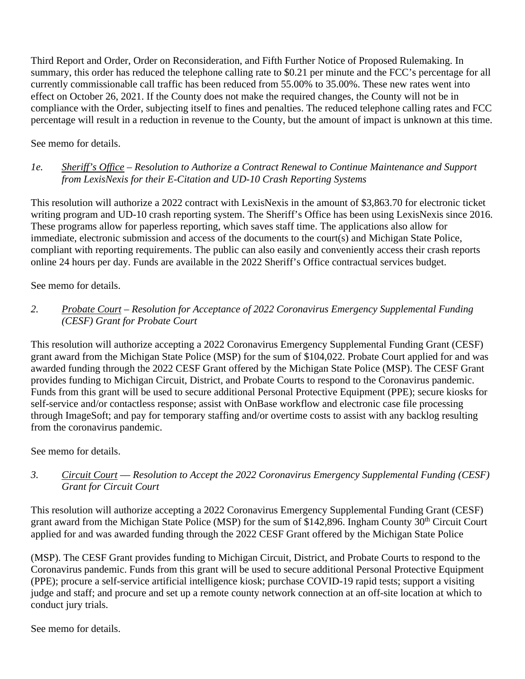Third Report and Order, Order on Reconsideration, and Fifth Further Notice of Proposed Rulemaking. In summary, this order has reduced the telephone calling rate to \$0.21 per minute and the FCC's percentage for all currently commissionable call traffic has been reduced from 55.00% to 35.00%. These new rates went into effect on October 26, 2021. If the County does not make the required changes, the County will not be in compliance with the Order, subjecting itself to fines and penalties. The reduced telephone calling rates and FCC percentage will result in a reduction in revenue to the County, but the amount of impact is unknown at this time.

See memo for details.

# *1e. Sheriff's Office – Resolution to Authorize a Contract Renewal to Continue Maintenance and Support from LexisNexis for their E-Citation and UD-10 Crash Reporting Systems*

This resolution will authorize a 2022 contract with LexisNexis in the amount of \$3,863.70 for electronic ticket writing program and UD-10 crash reporting system. The Sheriff's Office has been using LexisNexis since 2016. These programs allow for paperless reporting, which saves staff time. The applications also allow for immediate, electronic submission and access of the documents to the court(s) and Michigan State Police, compliant with reporting requirements. The public can also easily and conveniently access their crash reports online 24 hours per day. Funds are available in the 2022 Sheriff's Office contractual services budget.

See memo for details.

# *2. Probate Court – Resolution for Acceptance of 2022 Coronavirus Emergency Supplemental Funding (CESF) Grant for Probate Court*

This resolution will authorize accepting a 2022 Coronavirus Emergency Supplemental Funding Grant (CESF) grant award from the Michigan State Police (MSP) for the sum of \$104,022. Probate Court applied for and was awarded funding through the 2022 CESF Grant offered by the Michigan State Police (MSP). The CESF Grant provides funding to Michigan Circuit, District, and Probate Courts to respond to the Coronavirus pandemic. Funds from this grant will be used to secure additional Personal Protective Equipment (PPE); secure kiosks for self-service and/or contactless response; assist with OnBase workflow and electronic case file processing through ImageSoft; and pay for temporary staffing and/or overtime costs to assist with any backlog resulting from the coronavirus pandemic.

See memo for details.

# *3. Circuit Court –– Resolution to Accept the 2022 Coronavirus Emergency Supplemental Funding (CESF) Grant for Circuit Court*

This resolution will authorize accepting a 2022 Coronavirus Emergency Supplemental Funding Grant (CESF) grant award from the Michigan State Police (MSP) for the sum of \$142,896. Ingham County 30<sup>th</sup> Circuit Court applied for and was awarded funding through the 2022 CESF Grant offered by the Michigan State Police

(MSP). The CESF Grant provides funding to Michigan Circuit, District, and Probate Courts to respond to the Coronavirus pandemic. Funds from this grant will be used to secure additional Personal Protective Equipment (PPE); procure a self-service artificial intelligence kiosk; purchase COVID-19 rapid tests; support a visiting judge and staff; and procure and set up a remote county network connection at an off-site location at which to conduct jury trials.

See memo for details.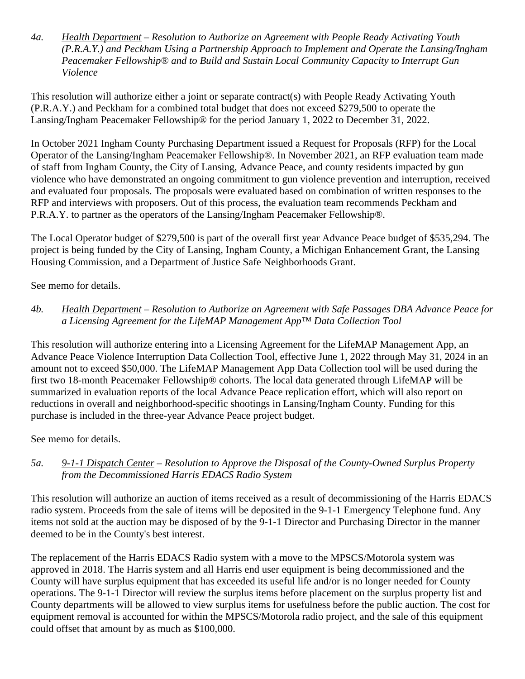*4a. Health Department – Resolution to Authorize an Agreement with People Ready Activating Youth (P.R.A.Y.) and Peckham Using a Partnership Approach to Implement and Operate the Lansing/Ingham Peacemaker Fellowship® and to Build and Sustain Local Community Capacity to Interrupt Gun Violence* 

This resolution will authorize either a joint or separate contract(s) with People Ready Activating Youth (P.R.A.Y.) and Peckham for a combined total budget that does not exceed \$279,500 to operate the Lansing/Ingham Peacemaker Fellowship® for the period January 1, 2022 to December 31, 2022.

In October 2021 Ingham County Purchasing Department issued a Request for Proposals (RFP) for the Local Operator of the Lansing/Ingham Peacemaker Fellowship®. In November 2021, an RFP evaluation team made of staff from Ingham County, the City of Lansing, Advance Peace, and county residents impacted by gun violence who have demonstrated an ongoing commitment to gun violence prevention and interruption, received and evaluated four proposals. The proposals were evaluated based on combination of written responses to the RFP and interviews with proposers. Out of this process, the evaluation team recommends Peckham and P.R.A.Y. to partner as the operators of the Lansing/Ingham Peacemaker Fellowship®.

The Local Operator budget of \$279,500 is part of the overall first year Advance Peace budget of \$535,294. The project is being funded by the City of Lansing, Ingham County, a Michigan Enhancement Grant, the Lansing Housing Commission, and a Department of Justice Safe Neighborhoods Grant.

See memo for details.

# *4b. Health Department – Resolution to Authorize an Agreement with Safe Passages DBA Advance Peace for a Licensing Agreement for the LifeMAP Management App™ Data Collection Tool*

This resolution will authorize entering into a Licensing Agreement for the LifeMAP Management App, an Advance Peace Violence Interruption Data Collection Tool, effective June 1, 2022 through May 31, 2024 in an amount not to exceed \$50,000. The LifeMAP Management App Data Collection tool will be used during the first two 18-month Peacemaker Fellowship® cohorts. The local data generated through LifeMAP will be summarized in evaluation reports of the local Advance Peace replication effort, which will also report on reductions in overall and neighborhood-specific shootings in Lansing/Ingham County. Funding for this purchase is included in the three-year Advance Peace project budget.

See memo for details.

# *5a. 9-1-1 Dispatch Center – Resolution to Approve the Disposal of the County-Owned Surplus Property from the Decommissioned Harris EDACS Radio System*

This resolution will authorize an auction of items received as a result of decommissioning of the Harris EDACS radio system. Proceeds from the sale of items will be deposited in the 9-1-1 Emergency Telephone fund. Any items not sold at the auction may be disposed of by the 9-1-1 Director and Purchasing Director in the manner deemed to be in the County's best interest.

The replacement of the Harris EDACS Radio system with a move to the MPSCS/Motorola system was approved in 2018. The Harris system and all Harris end user equipment is being decommissioned and the County will have surplus equipment that has exceeded its useful life and/or is no longer needed for County operations. The 9-1-1 Director will review the surplus items before placement on the surplus property list and County departments will be allowed to view surplus items for usefulness before the public auction. The cost for equipment removal is accounted for within the MPSCS/Motorola radio project, and the sale of this equipment could offset that amount by as much as \$100,000.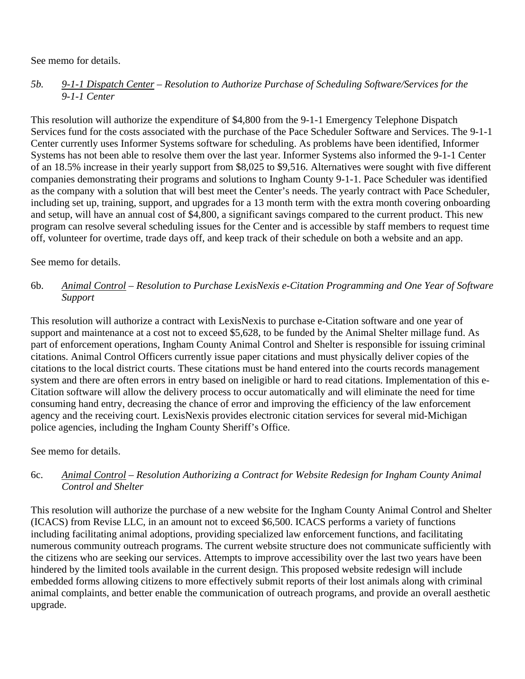## See memo for details.

# *5b. 9-1-1 Dispatch Center – Resolution to Authorize Purchase of Scheduling Software/Services for the 9-1-1 Center*

This resolution will authorize the expenditure of \$4,800 from the 9-1-1 Emergency Telephone Dispatch Services fund for the costs associated with the purchase of the Pace Scheduler Software and Services. The 9-1-1 Center currently uses Informer Systems software for scheduling. As problems have been identified, Informer Systems has not been able to resolve them over the last year. Informer Systems also informed the 9-1-1 Center of an 18.5% increase in their yearly support from \$8,025 to \$9,516. Alternatives were sought with five different companies demonstrating their programs and solutions to Ingham County 9-1-1. Pace Scheduler was identified as the company with a solution that will best meet the Center's needs. The yearly contract with Pace Scheduler, including set up, training, support, and upgrades for a 13 month term with the extra month covering onboarding and setup, will have an annual cost of \$4,800, a significant savings compared to the current product. This new program can resolve several scheduling issues for the Center and is accessible by staff members to request time off, volunteer for overtime, trade days off, and keep track of their schedule on both a website and an app.

## See memo for details.

# 6b. *Animal Control – Resolution to Purchase LexisNexis e-Citation Programming and One Year of Software Support*

This resolution will authorize a contract with LexisNexis to purchase e-Citation software and one year of support and maintenance at a cost not to exceed \$5,628, to be funded by the Animal Shelter millage fund. As part of enforcement operations, Ingham County Animal Control and Shelter is responsible for issuing criminal citations. Animal Control Officers currently issue paper citations and must physically deliver copies of the citations to the local district courts. These citations must be hand entered into the courts records management system and there are often errors in entry based on ineligible or hard to read citations. Implementation of this e-Citation software will allow the delivery process to occur automatically and will eliminate the need for time consuming hand entry, decreasing the chance of error and improving the efficiency of the law enforcement agency and the receiving court. LexisNexis provides electronic citation services for several mid-Michigan police agencies, including the Ingham County Sheriff's Office.

See memo for details.

# 6c. *Animal Control – Resolution Authorizing a Contract for Website Redesign for Ingham County Animal Control and Shelter*

This resolution will authorize the purchase of a new website for the Ingham County Animal Control and Shelter (ICACS) from Revise LLC, in an amount not to exceed \$6,500. ICACS performs a variety of functions including facilitating animal adoptions, providing specialized law enforcement functions, and facilitating numerous community outreach programs. The current website structure does not communicate sufficiently with the citizens who are seeking our services. Attempts to improve accessibility over the last two years have been hindered by the limited tools available in the current design. This proposed website redesign will include embedded forms allowing citizens to more effectively submit reports of their lost animals along with criminal animal complaints, and better enable the communication of outreach programs, and provide an overall aesthetic upgrade.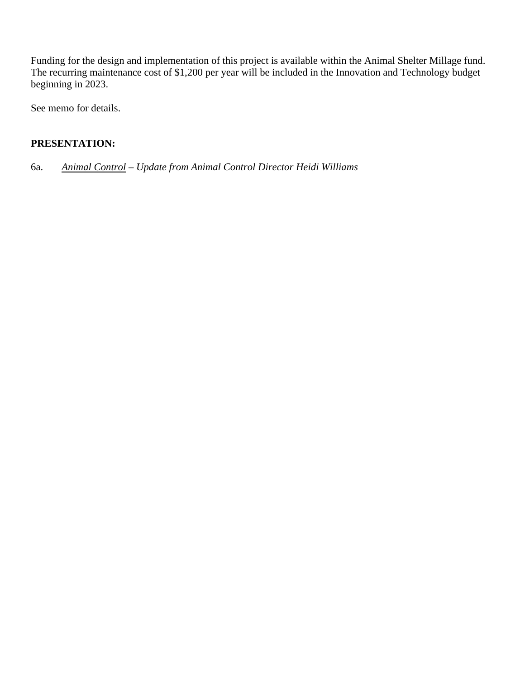Funding for the design and implementation of this project is available within the Animal Shelter Millage fund. The recurring maintenance cost of \$1,200 per year will be included in the Innovation and Technology budget beginning in 2023.

See memo for details.

# **PRESENTATION:**

6a. *Animal Control – Update from Animal Control Director Heidi Williams*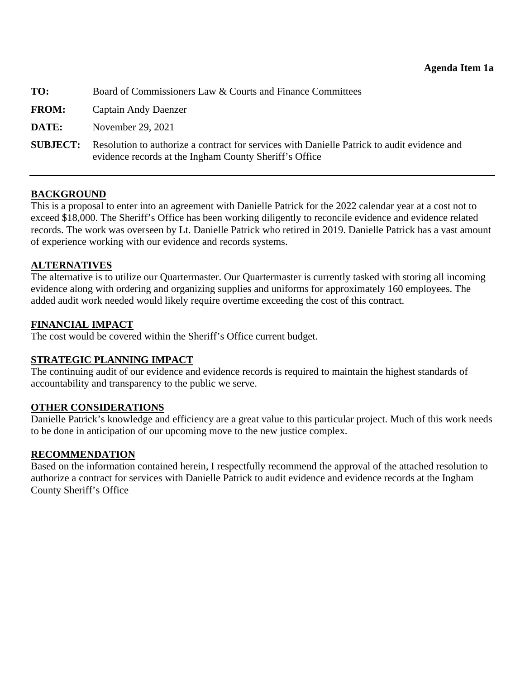<span id="page-11-0"></span>

| TO:          | Board of Commissioners Law & Courts and Finance Committees                                                                                            |
|--------------|-------------------------------------------------------------------------------------------------------------------------------------------------------|
| <b>FROM:</b> | Captain Andy Daenzer                                                                                                                                  |
| DATE:        | November 29, 2021                                                                                                                                     |
| SUBJECT:     | Resolution to authorize a contract for services with Danielle Patrick to audit evidence and<br>evidence records at the Ingham County Sheriff's Office |

This is a proposal to enter into an agreement with Danielle Patrick for the 2022 calendar year at a cost not to exceed \$18,000. The Sheriff's Office has been working diligently to reconcile evidence and evidence related records. The work was overseen by Lt. Danielle Patrick who retired in 2019. Danielle Patrick has a vast amount of experience working with our evidence and records systems.

### **ALTERNATIVES**

The alternative is to utilize our Quartermaster. Our Quartermaster is currently tasked with storing all incoming evidence along with ordering and organizing supplies and uniforms for approximately 160 employees. The added audit work needed would likely require overtime exceeding the cost of this contract.

## **FINANCIAL IMPACT**

The cost would be covered within the Sheriff's Office current budget.

### **STRATEGIC PLANNING IMPACT**

The continuing audit of our evidence and evidence records is required to maintain the highest standards of accountability and transparency to the public we serve.

### **OTHER CONSIDERATIONS**

Danielle Patrick's knowledge and efficiency are a great value to this particular project. Much of this work needs to be done in anticipation of our upcoming move to the new justice complex.

# **RECOMMENDATION**

Based on the information contained herein, I respectfully recommend the approval of the attached resolution to authorize a contract for services with Danielle Patrick to audit evidence and evidence records at the Ingham County Sheriff's Office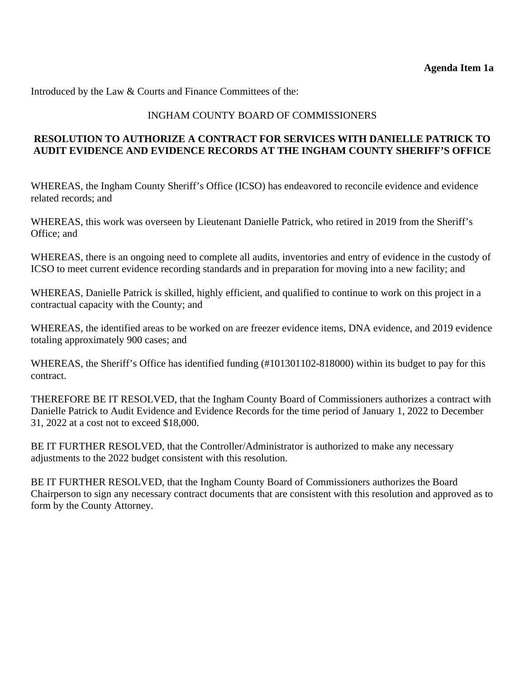## INGHAM COUNTY BOARD OF COMMISSIONERS

## **RESOLUTION TO AUTHORIZE A CONTRACT FOR SERVICES WITH DANIELLE PATRICK TO AUDIT EVIDENCE AND EVIDENCE RECORDS AT THE INGHAM COUNTY SHERIFF'S OFFICE**

WHEREAS, the Ingham County Sheriff's Office (ICSO) has endeavored to reconcile evidence and evidence related records; and

WHEREAS, this work was overseen by Lieutenant Danielle Patrick, who retired in 2019 from the Sheriff's Office; and

WHEREAS, there is an ongoing need to complete all audits, inventories and entry of evidence in the custody of ICSO to meet current evidence recording standards and in preparation for moving into a new facility; and

WHEREAS, Danielle Patrick is skilled, highly efficient, and qualified to continue to work on this project in a contractual capacity with the County; and

WHEREAS, the identified areas to be worked on are freezer evidence items, DNA evidence, and 2019 evidence totaling approximately 900 cases; and

WHEREAS, the Sheriff's Office has identified funding (#101301102-818000) within its budget to pay for this contract.

THEREFORE BE IT RESOLVED, that the Ingham County Board of Commissioners authorizes a contract with Danielle Patrick to Audit Evidence and Evidence Records for the time period of January 1, 2022 to December 31, 2022 at a cost not to exceed \$18,000.

BE IT FURTHER RESOLVED, that the Controller/Administrator is authorized to make any necessary adjustments to the 2022 budget consistent with this resolution.

BE IT FURTHER RESOLVED, that the Ingham County Board of Commissioners authorizes the Board Chairperson to sign any necessary contract documents that are consistent with this resolution and approved as to form by the County Attorney.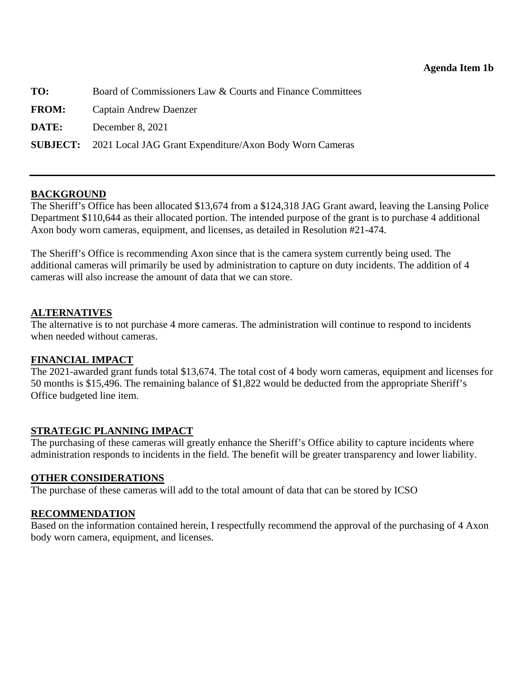<span id="page-13-0"></span>

| TO: | Board of Commissioners Law & Courts and Finance Committees |
|-----|------------------------------------------------------------|
|     |                                                            |

**FROM:** Captain Andrew Daenzer

**DATE:** December 8, 2021

**SUBJECT:** 2021 Local JAG Grant Expenditure/Axon Body Worn Cameras

## **BACKGROUND**

The Sheriff's Office has been allocated \$13,674 from a \$124,318 JAG Grant award, leaving the Lansing Police Department \$110,644 as their allocated portion. The intended purpose of the grant is to purchase 4 additional Axon body worn cameras, equipment, and licenses, as detailed in Resolution #21-474.

The Sheriff's Office is recommending Axon since that is the camera system currently being used. The additional cameras will primarily be used by administration to capture on duty incidents. The addition of 4 cameras will also increase the amount of data that we can store.

### **ALTERNATIVES**

The alternative is to not purchase 4 more cameras. The administration will continue to respond to incidents when needed without cameras.

### **FINANCIAL IMPACT**

The 2021-awarded grant funds total \$13,674. The total cost of 4 body worn cameras, equipment and licenses for 50 months is \$15,496. The remaining balance of \$1,822 would be deducted from the appropriate Sheriff's Office budgeted line item.

### **STRATEGIC PLANNING IMPACT**

The purchasing of these cameras will greatly enhance the Sheriff's Office ability to capture incidents where administration responds to incidents in the field. The benefit will be greater transparency and lower liability.

### **OTHER CONSIDERATIONS**

The purchase of these cameras will add to the total amount of data that can be stored by ICSO

# **RECOMMENDATION**

Based on the information contained herein, I respectfully recommend the approval of the purchasing of 4 Axon body worn camera, equipment, and licenses.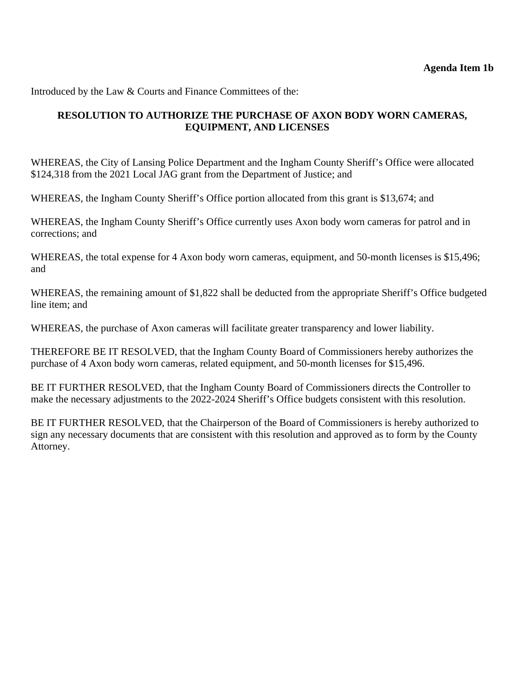# **RESOLUTION TO AUTHORIZE THE PURCHASE OF AXON BODY WORN CAMERAS, EQUIPMENT, AND LICENSES**

WHEREAS, the City of Lansing Police Department and the Ingham County Sheriff's Office were allocated \$124,318 from the 2021 Local JAG grant from the Department of Justice; and

WHEREAS, the Ingham County Sheriff's Office portion allocated from this grant is \$13,674; and

WHEREAS, the Ingham County Sheriff's Office currently uses Axon body worn cameras for patrol and in corrections; and

WHEREAS, the total expense for 4 Axon body worn cameras, equipment, and 50-month licenses is \$15,496; and

WHEREAS, the remaining amount of \$1,822 shall be deducted from the appropriate Sheriff's Office budgeted line item; and

WHEREAS, the purchase of Axon cameras will facilitate greater transparency and lower liability.

THEREFORE BE IT RESOLVED, that the Ingham County Board of Commissioners hereby authorizes the purchase of 4 Axon body worn cameras, related equipment, and 50-month licenses for \$15,496.

BE IT FURTHER RESOLVED, that the Ingham County Board of Commissioners directs the Controller to make the necessary adjustments to the 2022-2024 Sheriff's Office budgets consistent with this resolution.

BE IT FURTHER RESOLVED, that the Chairperson of the Board of Commissioners is hereby authorized to sign any necessary documents that are consistent with this resolution and approved as to form by the County Attorney.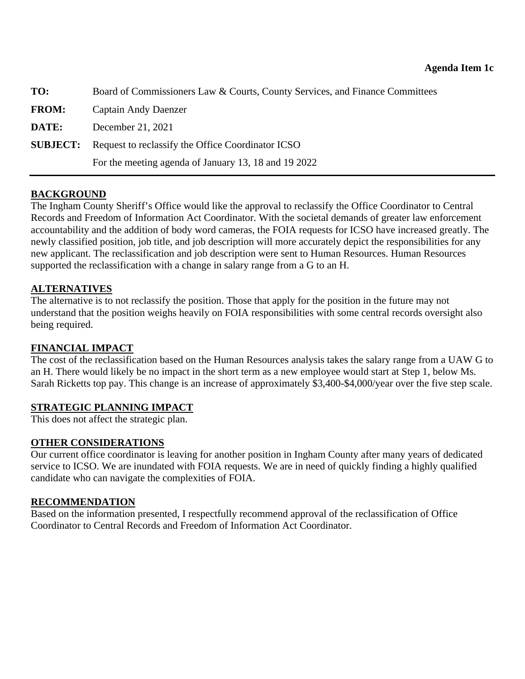<span id="page-15-0"></span>

| TO:          | Board of Commissioners Law & Courts, County Services, and Finance Committees |
|--------------|------------------------------------------------------------------------------|
| <b>FROM:</b> | Captain Andy Daenzer                                                         |
| DATE:        | December 21, 2021                                                            |
|              | <b>SUBJECT:</b> Request to reclassify the Office Coordinator ICSO            |
|              | For the meeting agenda of January 13, 18 and 19 2022                         |

The Ingham County Sheriff's Office would like the approval to reclassify the Office Coordinator to Central Records and Freedom of Information Act Coordinator. With the societal demands of greater law enforcement accountability and the addition of body word cameras, the FOIA requests for ICSO have increased greatly. The newly classified position, job title, and job description will more accurately depict the responsibilities for any new applicant. The reclassification and job description were sent to Human Resources. Human Resources supported the reclassification with a change in salary range from a G to an H.

### **ALTERNATIVES**

The alternative is to not reclassify the position. Those that apply for the position in the future may not understand that the position weighs heavily on FOIA responsibilities with some central records oversight also being required.

### **FINANCIAL IMPACT**

The cost of the reclassification based on the Human Resources analysis takes the salary range from a UAW G to an H. There would likely be no impact in the short term as a new employee would start at Step 1, below Ms. Sarah Ricketts top pay. This change is an increase of approximately \$3,400-\$4,000/year over the five step scale.

# **STRATEGIC PLANNING IMPACT**

This does not affect the strategic plan.

### **OTHER CONSIDERATIONS**

Our current office coordinator is leaving for another position in Ingham County after many years of dedicated service to ICSO. We are inundated with FOIA requests. We are in need of quickly finding a highly qualified candidate who can navigate the complexities of FOIA.

# **RECOMMENDATION**

Based on the information presented, I respectfully recommend approval of the reclassification of Office Coordinator to Central Records and Freedom of Information Act Coordinator.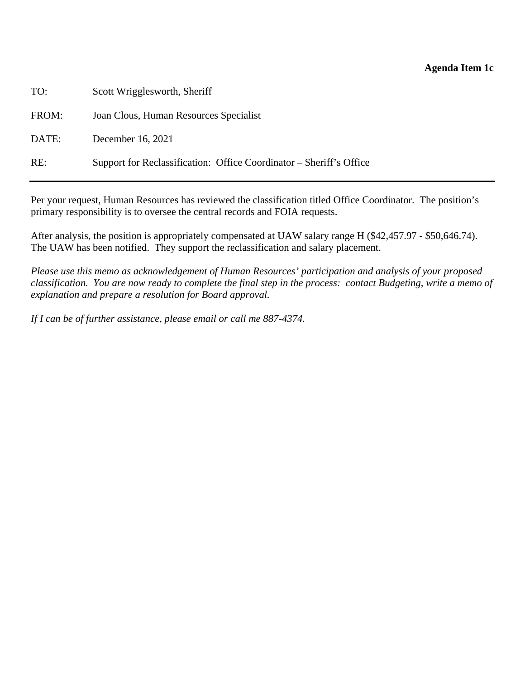### **Agenda Item 1c**

TO: Scott Wrigglesworth, Sheriff

FROM: Joan Clous, Human Resources Specialist

DATE: December 16, 2021

RE: Support for Reclassification: Office Coordinator – Sheriff's Office

Per your request, Human Resources has reviewed the classification titled Office Coordinator. The position's primary responsibility is to oversee the central records and FOIA requests.

After analysis, the position is appropriately compensated at UAW salary range H (\$42,457.97 - \$50,646.74). The UAW has been notified. They support the reclassification and salary placement.

*Please use this memo as acknowledgement of Human Resources' participation and analysis of your proposed classification. You are now ready to complete the final step in the process: contact Budgeting, write a memo of explanation and prepare a resolution for Board approval.* 

*If I can be of further assistance, please email or call me 887-4374.*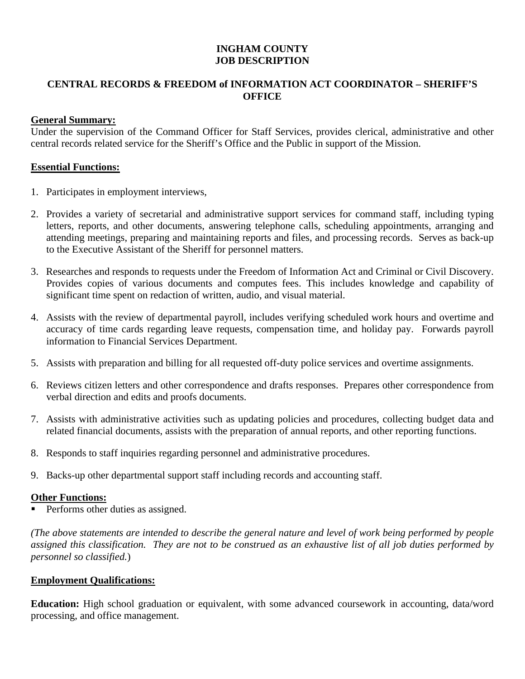# **INGHAM COUNTY JOB DESCRIPTION**

# **CENTRAL RECORDS & FREEDOM of INFORMATION ACT COORDINATOR – SHERIFF'S OFFICE**

## **General Summary:**

Under the supervision of the Command Officer for Staff Services, provides clerical, administrative and other central records related service for the Sheriff's Office and the Public in support of the Mission.

### **Essential Functions:**

- 1. Participates in employment interviews,
- 2. Provides a variety of secretarial and administrative support services for command staff, including typing letters, reports, and other documents, answering telephone calls, scheduling appointments, arranging and attending meetings, preparing and maintaining reports and files, and processing records. Serves as back-up to the Executive Assistant of the Sheriff for personnel matters.
- 3. Researches and responds to requests under the Freedom of Information Act and Criminal or Civil Discovery. Provides copies of various documents and computes fees. This includes knowledge and capability of significant time spent on redaction of written, audio, and visual material.
- 4. Assists with the review of departmental payroll, includes verifying scheduled work hours and overtime and accuracy of time cards regarding leave requests, compensation time, and holiday pay. Forwards payroll information to Financial Services Department.
- 5. Assists with preparation and billing for all requested off-duty police services and overtime assignments.
- 6. Reviews citizen letters and other correspondence and drafts responses. Prepares other correspondence from verbal direction and edits and proofs documents.
- 7. Assists with administrative activities such as updating policies and procedures, collecting budget data and related financial documents, assists with the preparation of annual reports, and other reporting functions.
- 8. Responds to staff inquiries regarding personnel and administrative procedures.
- 9. Backs-up other departmental support staff including records and accounting staff.

# **Other Functions:**

Performs other duties as assigned.

*(The above statements are intended to describe the general nature and level of work being performed by people assigned this classification. They are not to be construed as an exhaustive list of all job duties performed by personnel so classified.*)

### **Employment Qualifications:**

**Education:** High school graduation or equivalent, with some advanced coursework in accounting, data/word processing, and office management.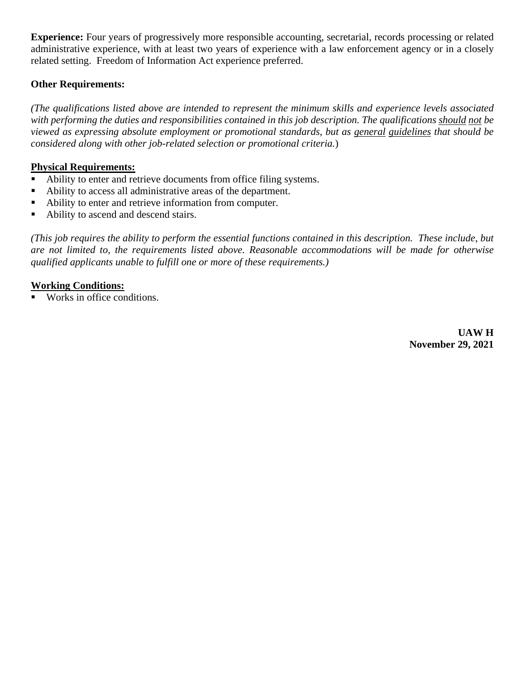**Experience:** Four years of progressively more responsible accounting, secretarial, records processing or related administrative experience, with at least two years of experience with a law enforcement agency or in a closely related setting. Freedom of Information Act experience preferred.

# **Other Requirements:**

*(The qualifications listed above are intended to represent the minimum skills and experience levels associated with performing the duties and responsibilities contained in this job description. The qualifications should not be viewed as expressing absolute employment or promotional standards, but as general guidelines that should be considered along with other job-related selection or promotional criteria.*)

# **Physical Requirements:**

- Ability to enter and retrieve documents from office filing systems.
- Ability to access all administrative areas of the department.
- Ability to enter and retrieve information from computer.
- Ability to ascend and descend stairs.

*(This job requires the ability to perform the essential functions contained in this description. These include, but are not limited to, the requirements listed above. Reasonable accommodations will be made for otherwise qualified applicants unable to fulfill one or more of these requirements.)*

# **Working Conditions:**

Works in office conditions.

 **UAW H November 29, 2021**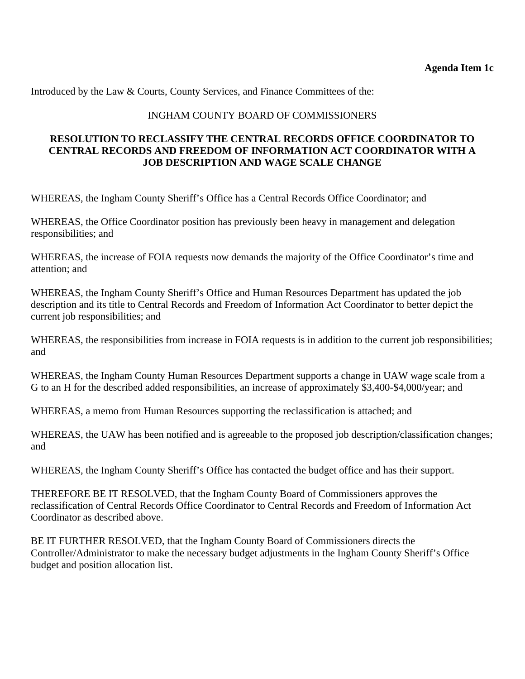Introduced by the Law & Courts, County Services, and Finance Committees of the:

## INGHAM COUNTY BOARD OF COMMISSIONERS

## **RESOLUTION TO RECLASSIFY THE CENTRAL RECORDS OFFICE COORDINATOR TO CENTRAL RECORDS AND FREEDOM OF INFORMATION ACT COORDINATOR WITH A JOB DESCRIPTION AND WAGE SCALE CHANGE**

WHEREAS, the Ingham County Sheriff's Office has a Central Records Office Coordinator; and

WHEREAS, the Office Coordinator position has previously been heavy in management and delegation responsibilities; and

WHEREAS, the increase of FOIA requests now demands the majority of the Office Coordinator's time and attention; and

WHEREAS, the Ingham County Sheriff's Office and Human Resources Department has updated the job description and its title to Central Records and Freedom of Information Act Coordinator to better depict the current job responsibilities; and

WHEREAS, the responsibilities from increase in FOIA requests is in addition to the current job responsibilities; and

WHEREAS, the Ingham County Human Resources Department supports a change in UAW wage scale from a G to an H for the described added responsibilities, an increase of approximately \$3,400-\$4,000/year; and

WHEREAS, a memo from Human Resources supporting the reclassification is attached; and

WHEREAS, the UAW has been notified and is agreeable to the proposed job description/classification changes; and

WHEREAS, the Ingham County Sheriff's Office has contacted the budget office and has their support.

THEREFORE BE IT RESOLVED, that the Ingham County Board of Commissioners approves the reclassification of Central Records Office Coordinator to Central Records and Freedom of Information Act Coordinator as described above.

BE IT FURTHER RESOLVED, that the Ingham County Board of Commissioners directs the Controller/Administrator to make the necessary budget adjustments in the Ingham County Sheriff's Office budget and position allocation list.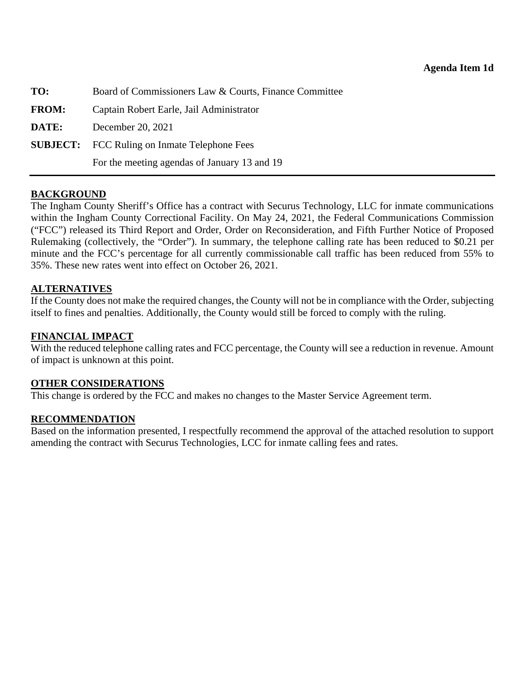<span id="page-20-0"></span>

| TO:          | Board of Commissioners Law & Courts, Finance Committee |
|--------------|--------------------------------------------------------|
| <b>FROM:</b> | Captain Robert Earle, Jail Administrator               |
| DATE:        | December 20, 2021                                      |
|              | <b>SUBJECT:</b> FCC Ruling on Inmate Telephone Fees    |
|              | For the meeting agendas of January 13 and 19           |

The Ingham County Sheriff's Office has a contract with Securus Technology, LLC for inmate communications within the Ingham County Correctional Facility. On May 24, 2021, the Federal Communications Commission ("FCC") released its Third Report and Order, Order on Reconsideration, and Fifth Further Notice of Proposed Rulemaking (collectively, the "Order"). In summary, the telephone calling rate has been reduced to \$0.21 per minute and the FCC's percentage for all currently commissionable call traffic has been reduced from 55% to 35%. These new rates went into effect on October 26, 2021.

### **ALTERNATIVES**

If the County does not make the required changes, the County will not be in compliance with the Order, subjecting itself to fines and penalties. Additionally, the County would still be forced to comply with the ruling.

## **FINANCIAL IMPACT**

With the reduced telephone calling rates and FCC percentage, the County will see a reduction in revenue. Amount of impact is unknown at this point.

### **OTHER CONSIDERATIONS**

This change is ordered by the FCC and makes no changes to the Master Service Agreement term.

### **RECOMMENDATION**

Based on the information presented, I respectfully recommend the approval of the attached resolution to support amending the contract with Securus Technologies, LCC for inmate calling fees and rates.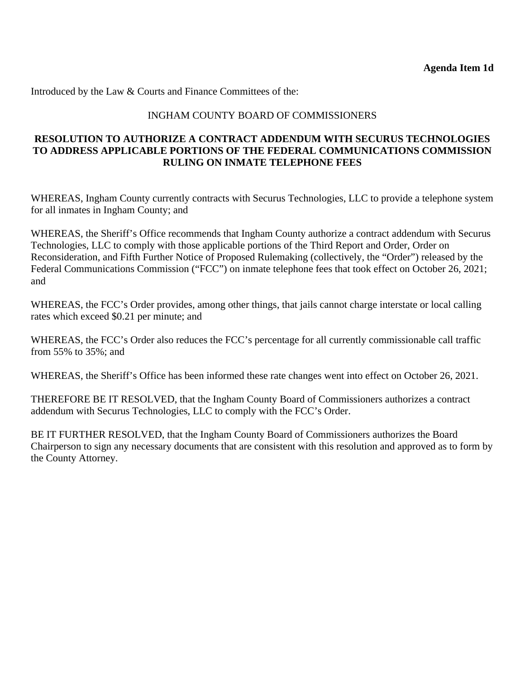## INGHAM COUNTY BOARD OF COMMISSIONERS

## **RESOLUTION TO AUTHORIZE A CONTRACT ADDENDUM WITH SECURUS TECHNOLOGIES TO ADDRESS APPLICABLE PORTIONS OF THE FEDERAL COMMUNICATIONS COMMISSION RULING ON INMATE TELEPHONE FEES**

WHEREAS, Ingham County currently contracts with Securus Technologies, LLC to provide a telephone system for all inmates in Ingham County; and

WHEREAS, the Sheriff's Office recommends that Ingham County authorize a contract addendum with Securus Technologies, LLC to comply with those applicable portions of the Third Report and Order, Order on Reconsideration, and Fifth Further Notice of Proposed Rulemaking (collectively, the "Order") released by the Federal Communications Commission ("FCC") on inmate telephone fees that took effect on October 26, 2021; and

WHEREAS, the FCC's Order provides, among other things, that jails cannot charge interstate or local calling rates which exceed \$0.21 per minute; and

WHEREAS, the FCC's Order also reduces the FCC's percentage for all currently commissionable call traffic from 55% to 35%; and

WHEREAS, the Sheriff's Office has been informed these rate changes went into effect on October 26, 2021.

THEREFORE BE IT RESOLVED, that the Ingham County Board of Commissioners authorizes a contract addendum with Securus Technologies, LLC to comply with the FCC's Order.

BE IT FURTHER RESOLVED, that the Ingham County Board of Commissioners authorizes the Board Chairperson to sign any necessary documents that are consistent with this resolution and approved as to form by the County Attorney.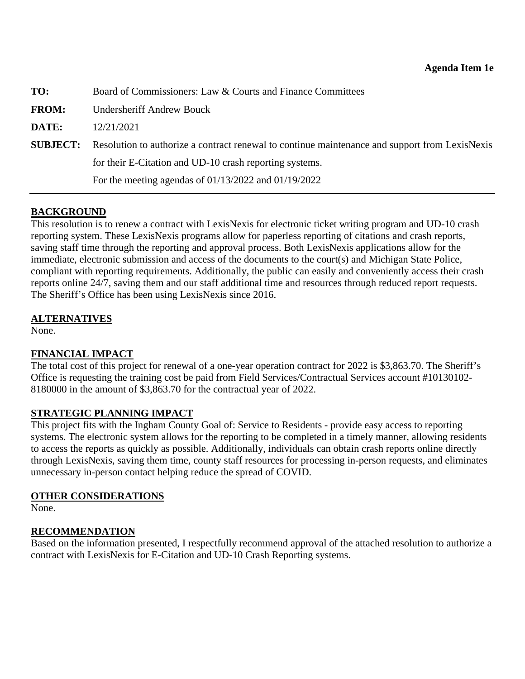<span id="page-22-0"></span>

| TO:             | Board of Commissioners: Law & Courts and Finance Committees                                    |
|-----------------|------------------------------------------------------------------------------------------------|
| <b>FROM:</b>    | <b>Undersheriff Andrew Bouck</b>                                                               |
| DATE:           | 12/21/2021                                                                                     |
| <b>SUBJECT:</b> | Resolution to authorize a contract renewal to continue maintenance and support from LexisNexis |
|                 | for their E-Citation and UD-10 crash reporting systems.                                        |
|                 | For the meeting agendas of $01/13/2022$ and $01/19/2022$                                       |

This resolution is to renew a contract with LexisNexis for electronic ticket writing program and UD-10 crash reporting system. These LexisNexis programs allow for paperless reporting of citations and crash reports, saving staff time through the reporting and approval process. Both LexisNexis applications allow for the immediate, electronic submission and access of the documents to the court(s) and Michigan State Police, compliant with reporting requirements. Additionally, the public can easily and conveniently access their crash reports online 24/7, saving them and our staff additional time and resources through reduced report requests. The Sheriff's Office has been using LexisNexis since 2016.

# **ALTERNATIVES**

None.

# **FINANCIAL IMPACT**

The total cost of this project for renewal of a one-year operation contract for 2022 is \$3,863.70. The Sheriff's Office is requesting the training cost be paid from Field Services/Contractual Services account #10130102- 8180000 in the amount of \$3,863.70 for the contractual year of 2022.

# **STRATEGIC PLANNING IMPACT**

This project fits with the Ingham County Goal of: Service to Residents - provide easy access to reporting systems. The electronic system allows for the reporting to be completed in a timely manner, allowing residents to access the reports as quickly as possible. Additionally, individuals can obtain crash reports online directly through LexisNexis, saving them time, county staff resources for processing in-person requests, and eliminates unnecessary in-person contact helping reduce the spread of COVID.

# **OTHER CONSIDERATIONS**

None.

# **RECOMMENDATION**

Based on the information presented, I respectfully recommend approval of the attached resolution to authorize a contract with LexisNexis for E-Citation and UD-10 Crash Reporting systems.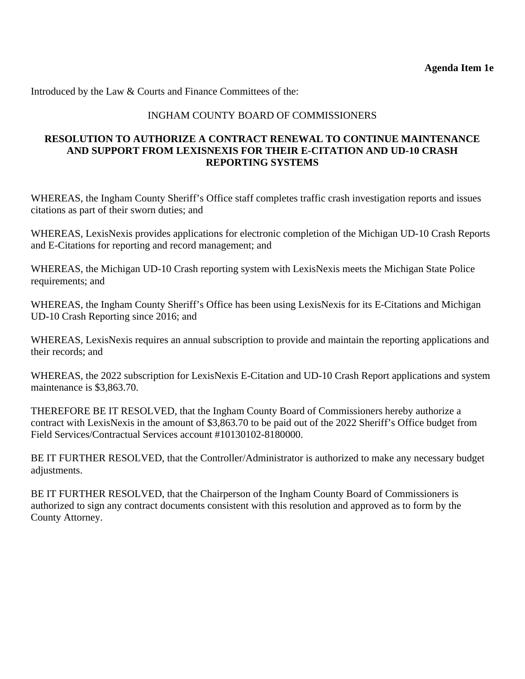## INGHAM COUNTY BOARD OF COMMISSIONERS

## **RESOLUTION TO AUTHORIZE A CONTRACT RENEWAL TO CONTINUE MAINTENANCE AND SUPPORT FROM LEXISNEXIS FOR THEIR E-CITATION AND UD-10 CRASH REPORTING SYSTEMS**

WHEREAS, the Ingham County Sheriff's Office staff completes traffic crash investigation reports and issues citations as part of their sworn duties; and

WHEREAS, LexisNexis provides applications for electronic completion of the Michigan UD-10 Crash Reports and E-Citations for reporting and record management; and

WHEREAS, the Michigan UD-10 Crash reporting system with LexisNexis meets the Michigan State Police requirements; and

WHEREAS, the Ingham County Sheriff's Office has been using LexisNexis for its E-Citations and Michigan UD-10 Crash Reporting since 2016; and

WHEREAS, LexisNexis requires an annual subscription to provide and maintain the reporting applications and their records; and

WHEREAS, the 2022 subscription for LexisNexis E-Citation and UD-10 Crash Report applications and system maintenance is \$3,863.70.

THEREFORE BE IT RESOLVED, that the Ingham County Board of Commissioners hereby authorize a contract with LexisNexis in the amount of \$3,863.70 to be paid out of the 2022 Sheriff's Office budget from Field Services/Contractual Services account #10130102-8180000.

BE IT FURTHER RESOLVED, that the Controller/Administrator is authorized to make any necessary budget adjustments.

BE IT FURTHER RESOLVED, that the Chairperson of the Ingham County Board of Commissioners is authorized to sign any contract documents consistent with this resolution and approved as to form by the County Attorney.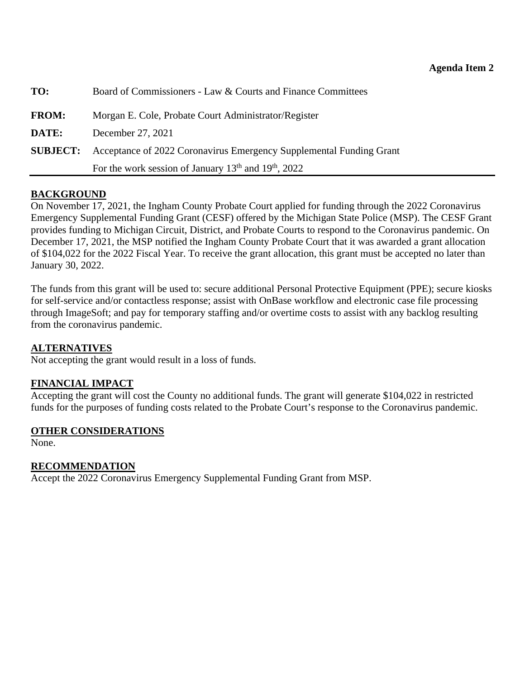<span id="page-24-0"></span>

| TO:             | Board of Commissioners - Law & Courts and Finance Committees        |
|-----------------|---------------------------------------------------------------------|
| <b>FROM:</b>    | Morgan E. Cole, Probate Court Administrator/Register                |
| DATE:           | December 27, 2021                                                   |
| <b>SUBJECT:</b> | Acceptance of 2022 Coronavirus Emergency Supplemental Funding Grant |
|                 | For the work session of January $13th$ and $19th$ , 2022            |

On November 17, 2021, the Ingham County Probate Court applied for funding through the 2022 Coronavirus Emergency Supplemental Funding Grant (CESF) offered by the Michigan State Police (MSP). The CESF Grant provides funding to Michigan Circuit, District, and Probate Courts to respond to the Coronavirus pandemic. On December 17, 2021, the MSP notified the Ingham County Probate Court that it was awarded a grant allocation of \$104,022 for the 2022 Fiscal Year. To receive the grant allocation, this grant must be accepted no later than January 30, 2022.

The funds from this grant will be used to: secure additional Personal Protective Equipment (PPE); secure kiosks for self-service and/or contactless response; assist with OnBase workflow and electronic case file processing through ImageSoft; and pay for temporary staffing and/or overtime costs to assist with any backlog resulting from the coronavirus pandemic.

# **ALTERNATIVES**

Not accepting the grant would result in a loss of funds.

# **FINANCIAL IMPACT**

Accepting the grant will cost the County no additional funds. The grant will generate \$104,022 in restricted funds for the purposes of funding costs related to the Probate Court's response to the Coronavirus pandemic.

### **OTHER CONSIDERATIONS**

None.

# **RECOMMENDATION**

Accept the 2022 Coronavirus Emergency Supplemental Funding Grant from MSP.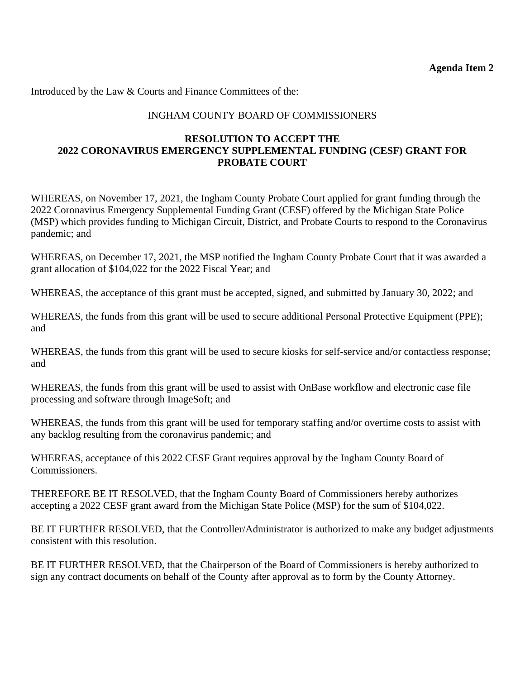# INGHAM COUNTY BOARD OF COMMISSIONERS

## **RESOLUTION TO ACCEPT THE 2022 CORONAVIRUS EMERGENCY SUPPLEMENTAL FUNDING (CESF) GRANT FOR PROBATE COURT**

WHEREAS, on November 17, 2021, the Ingham County Probate Court applied for grant funding through the 2022 Coronavirus Emergency Supplemental Funding Grant (CESF) offered by the Michigan State Police (MSP) which provides funding to Michigan Circuit, District, and Probate Courts to respond to the Coronavirus pandemic; and

WHEREAS, on December 17, 2021, the MSP notified the Ingham County Probate Court that it was awarded a grant allocation of \$104,022 for the 2022 Fiscal Year; and

WHEREAS, the acceptance of this grant must be accepted, signed, and submitted by January 30, 2022; and

WHEREAS, the funds from this grant will be used to secure additional Personal Protective Equipment (PPE); and

WHEREAS, the funds from this grant will be used to secure kiosks for self-service and/or contactless response; and

WHEREAS, the funds from this grant will be used to assist with OnBase workflow and electronic case file processing and software through ImageSoft; and

WHEREAS, the funds from this grant will be used for temporary staffing and/or overtime costs to assist with any backlog resulting from the coronavirus pandemic; and

WHEREAS, acceptance of this 2022 CESF Grant requires approval by the Ingham County Board of Commissioners.

THEREFORE BE IT RESOLVED, that the Ingham County Board of Commissioners hereby authorizes accepting a 2022 CESF grant award from the Michigan State Police (MSP) for the sum of \$104,022.

BE IT FURTHER RESOLVED, that the Controller/Administrator is authorized to make any budget adjustments consistent with this resolution.

BE IT FURTHER RESOLVED, that the Chairperson of the Board of Commissioners is hereby authorized to sign any contract documents on behalf of the County after approval as to form by the County Attorney.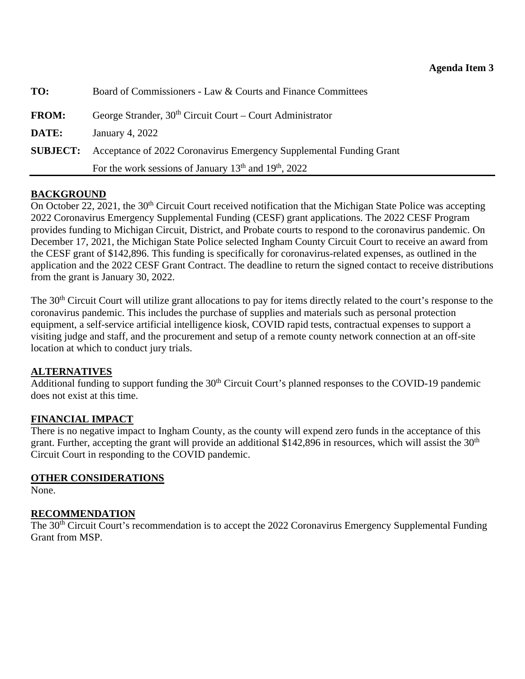<span id="page-26-0"></span>

| TO:             | Board of Commissioners - Law & Courts and Finance Committees        |
|-----------------|---------------------------------------------------------------------|
| <b>FROM:</b>    | George Strander, $30th$ Circuit Court – Court Administrator         |
| DATE:           | January 4, 2022                                                     |
| <b>SUBJECT:</b> | Acceptance of 2022 Coronavirus Emergency Supplemental Funding Grant |
|                 | For the work sessions of January $13th$ and $19th$ , 2022           |

On October 22, 2021, the 30<sup>th</sup> Circuit Court received notification that the Michigan State Police was accepting 2022 Coronavirus Emergency Supplemental Funding (CESF) grant applications. The 2022 CESF Program provides funding to Michigan Circuit, District, and Probate courts to respond to the coronavirus pandemic. On December 17, 2021, the Michigan State Police selected Ingham County Circuit Court to receive an award from the CESF grant of \$142,896. This funding is specifically for coronavirus-related expenses, as outlined in the application and the 2022 CESF Grant Contract. The deadline to return the signed contact to receive distributions from the grant is January 30, 2022.

The 30<sup>th</sup> Circuit Court will utilize grant allocations to pay for items directly related to the court's response to the coronavirus pandemic. This includes the purchase of supplies and materials such as personal protection equipment, a self-service artificial intelligence kiosk, COVID rapid tests, contractual expenses to support a visiting judge and staff, and the procurement and setup of a remote county network connection at an off-site location at which to conduct jury trials.

# **ALTERNATIVES**

Additional funding to support funding the 30<sup>th</sup> Circuit Court's planned responses to the COVID-19 pandemic does not exist at this time.

# **FINANCIAL IMPACT**

There is no negative impact to Ingham County, as the county will expend zero funds in the acceptance of this grant. Further, accepting the grant will provide an additional \$142,896 in resources, which will assist the  $30<sup>th</sup>$ Circuit Court in responding to the COVID pandemic.

# **OTHER CONSIDERATIONS**

None.

# **RECOMMENDATION**

The 30<sup>th</sup> Circuit Court's recommendation is to accept the 2022 Coronavirus Emergency Supplemental Funding Grant from MSP.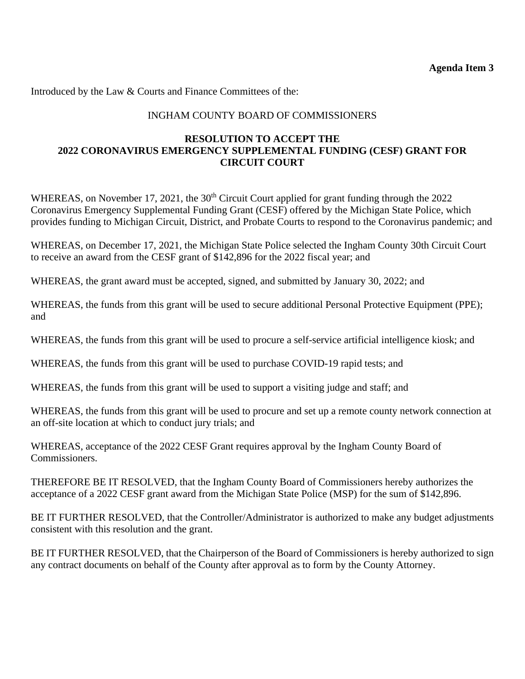**Agenda Item 3** 

Introduced by the Law & Courts and Finance Committees of the:

# INGHAM COUNTY BOARD OF COMMISSIONERS

## **RESOLUTION TO ACCEPT THE 2022 CORONAVIRUS EMERGENCY SUPPLEMENTAL FUNDING (CESF) GRANT FOR CIRCUIT COURT**

WHEREAS, on November 17, 2021, the 30<sup>th</sup> Circuit Court applied for grant funding through the 2022 Coronavirus Emergency Supplemental Funding Grant (CESF) offered by the Michigan State Police, which provides funding to Michigan Circuit, District, and Probate Courts to respond to the Coronavirus pandemic; and

WHEREAS, on December 17, 2021, the Michigan State Police selected the Ingham County 30th Circuit Court to receive an award from the CESF grant of \$142,896 for the 2022 fiscal year; and

WHEREAS, the grant award must be accepted, signed, and submitted by January 30, 2022; and

WHEREAS, the funds from this grant will be used to secure additional Personal Protective Equipment (PPE); and

WHEREAS, the funds from this grant will be used to procure a self-service artificial intelligence kiosk; and

WHEREAS, the funds from this grant will be used to purchase COVID-19 rapid tests; and

WHEREAS, the funds from this grant will be used to support a visiting judge and staff; and

WHEREAS, the funds from this grant will be used to procure and set up a remote county network connection at an off-site location at which to conduct jury trials; and

WHEREAS, acceptance of the 2022 CESF Grant requires approval by the Ingham County Board of Commissioners.

THEREFORE BE IT RESOLVED, that the Ingham County Board of Commissioners hereby authorizes the acceptance of a 2022 CESF grant award from the Michigan State Police (MSP) for the sum of \$142,896.

BE IT FURTHER RESOLVED, that the Controller/Administrator is authorized to make any budget adjustments consistent with this resolution and the grant.

BE IT FURTHER RESOLVED, that the Chairperson of the Board of Commissioners is hereby authorized to sign any contract documents on behalf of the County after approval as to form by the County Attorney.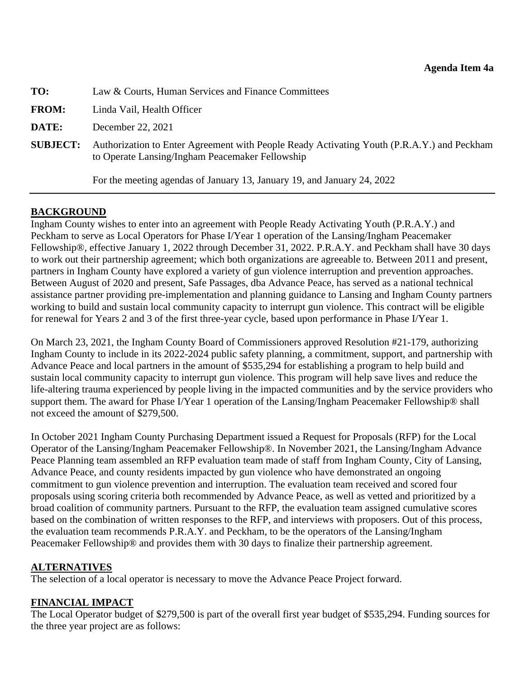<span id="page-28-0"></span>

| TO: | Law & Courts, Human Services and Finance Committees |  |
|-----|-----------------------------------------------------|--|
|     |                                                     |  |

**FROM:** Linda Vail, Health Officer

**DATE:** December 22, 2021

**SUBJECT:** Authorization to Enter Agreement with People Ready Activating Youth (P.R.A.Y.) and Peckham to Operate Lansing/Ingham Peacemaker Fellowship

For the meeting agendas of January 13, January 19, and January 24, 2022

## **BACKGROUND**

Ingham County wishes to enter into an agreement with People Ready Activating Youth (P.R.A.Y.) and Peckham to serve as Local Operators for Phase I/Year 1 operation of the Lansing/Ingham Peacemaker Fellowship®, effective January 1, 2022 through December 31, 2022. P.R.A.Y. and Peckham shall have 30 days to work out their partnership agreement; which both organizations are agreeable to. Between 2011 and present, partners in Ingham County have explored a variety of gun violence interruption and prevention approaches. Between August of 2020 and present, Safe Passages, dba Advance Peace, has served as a national technical assistance partner providing pre-implementation and planning guidance to Lansing and Ingham County partners working to build and sustain local community capacity to interrupt gun violence. This contract will be eligible for renewal for Years 2 and 3 of the first three-year cycle, based upon performance in Phase I/Year 1.

On March 23, 2021, the Ingham County Board of Commissioners approved Resolution #21-179, authorizing Ingham County to include in its 2022-2024 public safety planning, a commitment, support, and partnership with Advance Peace and local partners in the amount of \$535,294 for establishing a program to help build and sustain local community capacity to interrupt gun violence. This program will help save lives and reduce the life-altering trauma experienced by people living in the impacted communities and by the service providers who support them. The award for Phase I/Year 1 operation of the Lansing/Ingham Peacemaker Fellowship<sup>®</sup> shall not exceed the amount of \$279,500.

In October 2021 Ingham County Purchasing Department issued a Request for Proposals (RFP) for the Local Operator of the Lansing/Ingham Peacemaker Fellowship®. In November 2021, the Lansing/Ingham Advance Peace Planning team assembled an RFP evaluation team made of staff from Ingham County, City of Lansing, Advance Peace, and county residents impacted by gun violence who have demonstrated an ongoing commitment to gun violence prevention and interruption. The evaluation team received and scored four proposals using scoring criteria both recommended by Advance Peace, as well as vetted and prioritized by a broad coalition of community partners. Pursuant to the RFP, the evaluation team assigned cumulative scores based on the combination of written responses to the RFP, and interviews with proposers. Out of this process, the evaluation team recommends P.R.A.Y. and Peckham, to be the operators of the Lansing/Ingham Peacemaker Fellowship® and provides them with 30 days to finalize their partnership agreement.

### **ALTERNATIVES**

The selection of a local operator is necessary to move the Advance Peace Project forward.

# **FINANCIAL IMPACT**

The Local Operator budget of \$279,500 is part of the overall first year budget of \$535,294. Funding sources for the three year project are as follows: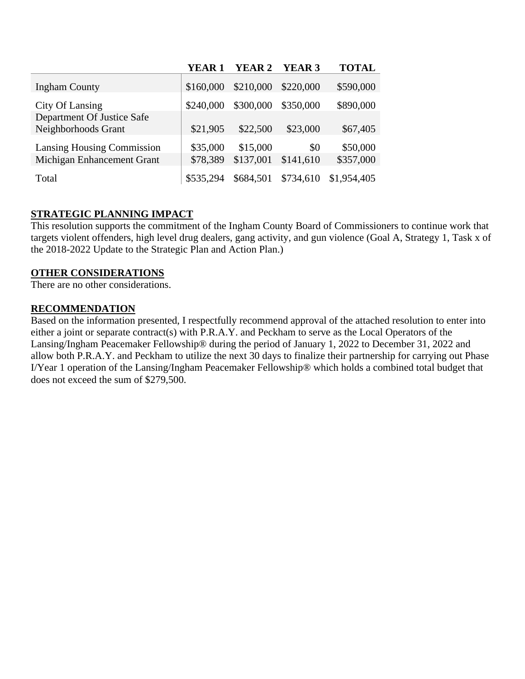|                                   | YEAR 1    | <b>YEAR 2</b> | YEAR 3    | <b>TOTAL</b> |
|-----------------------------------|-----------|---------------|-----------|--------------|
| <b>Ingham County</b>              | \$160,000 | \$210,000     | \$220,000 | \$590,000    |
| City Of Lansing                   | \$240,000 | \$300,000     | \$350,000 | \$890,000    |
| Department Of Justice Safe        |           |               |           |              |
| Neighborhoods Grant               | \$21,905  | \$22,500      | \$23,000  | \$67,405     |
| <b>Lansing Housing Commission</b> | \$35,000  | \$15,000      | \$0       | \$50,000     |
| Michigan Enhancement Grant        | \$78,389  | \$137,001     | \$141,610 | \$357,000    |
| Total                             | \$535,294 | \$684,501     | \$734,610 | \$1,954,405  |

# **STRATEGIC PLANNING IMPACT**

This resolution supports the commitment of the Ingham County Board of Commissioners to continue work that targets violent offenders, high level drug dealers, gang activity, and gun violence (Goal A, Strategy 1, Task x of the 2018-2022 Update to the Strategic Plan and Action Plan.)

# **OTHER CONSIDERATIONS**

There are no other considerations.

# **RECOMMENDATION**

Based on the information presented, I respectfully recommend approval of the attached resolution to enter into either a joint or separate contract(s) with P.R.A.Y. and Peckham to serve as the Local Operators of the Lansing/Ingham Peacemaker Fellowship® during the period of January 1, 2022 to December 31, 2022 and allow both P.R.A.Y. and Peckham to utilize the next 30 days to finalize their partnership for carrying out Phase I/Year 1 operation of the Lansing/Ingham Peacemaker Fellowship® which holds a combined total budget that does not exceed the sum of \$279,500.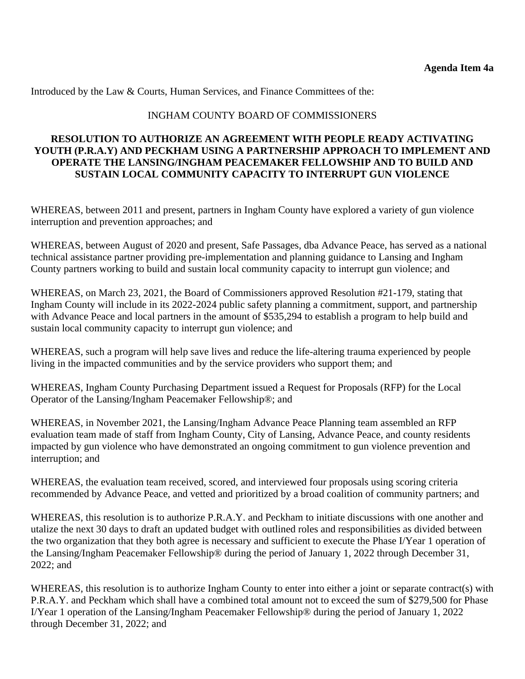Introduced by the Law & Courts, Human Services, and Finance Committees of the:

## INGHAM COUNTY BOARD OF COMMISSIONERS

# **RESOLUTION TO AUTHORIZE AN AGREEMENT WITH PEOPLE READY ACTIVATING YOUTH (P.R.A.Y) AND PECKHAM USING A PARTNERSHIP APPROACH TO IMPLEMENT AND OPERATE THE LANSING/INGHAM PEACEMAKER FELLOWSHIP AND TO BUILD AND SUSTAIN LOCAL COMMUNITY CAPACITY TO INTERRUPT GUN VIOLENCE**

WHEREAS, between 2011 and present, partners in Ingham County have explored a variety of gun violence interruption and prevention approaches; and

WHEREAS, between August of 2020 and present, Safe Passages, dba Advance Peace, has served as a national technical assistance partner providing pre-implementation and planning guidance to Lansing and Ingham County partners working to build and sustain local community capacity to interrupt gun violence; and

WHEREAS, on March 23, 2021, the Board of Commissioners approved Resolution #21-179, stating that Ingham County will include in its 2022-2024 public safety planning a commitment, support, and partnership with Advance Peace and local partners in the amount of \$535,294 to establish a program to help build and sustain local community capacity to interrupt gun violence; and

WHEREAS, such a program will help save lives and reduce the life-altering trauma experienced by people living in the impacted communities and by the service providers who support them; and

WHEREAS, Ingham County Purchasing Department issued a Request for Proposals (RFP) for the Local Operator of the Lansing/Ingham Peacemaker Fellowship®; and

WHEREAS, in November 2021, the Lansing/Ingham Advance Peace Planning team assembled an RFP evaluation team made of staff from Ingham County, City of Lansing, Advance Peace, and county residents impacted by gun violence who have demonstrated an ongoing commitment to gun violence prevention and interruption; and

WHEREAS, the evaluation team received, scored, and interviewed four proposals using scoring criteria recommended by Advance Peace, and vetted and prioritized by a broad coalition of community partners; and

WHEREAS, this resolution is to authorize P.R.A.Y. and Peckham to initiate discussions with one another and utalize the next 30 days to draft an updated budget with outlined roles and responsibilities as divided between the two organization that they both agree is necessary and sufficient to execute the Phase I/Year 1 operation of the Lansing/Ingham Peacemaker Fellowship® during the period of January 1, 2022 through December 31, 2022; and

WHEREAS, this resolution is to authorize Ingham County to enter into either a joint or separate contract(s) with P.R.A.Y. and Peckham which shall have a combined total amount not to exceed the sum of \$279,500 for Phase I/Year 1 operation of the Lansing/Ingham Peacemaker Fellowship® during the period of January 1, 2022 through December 31, 2022; and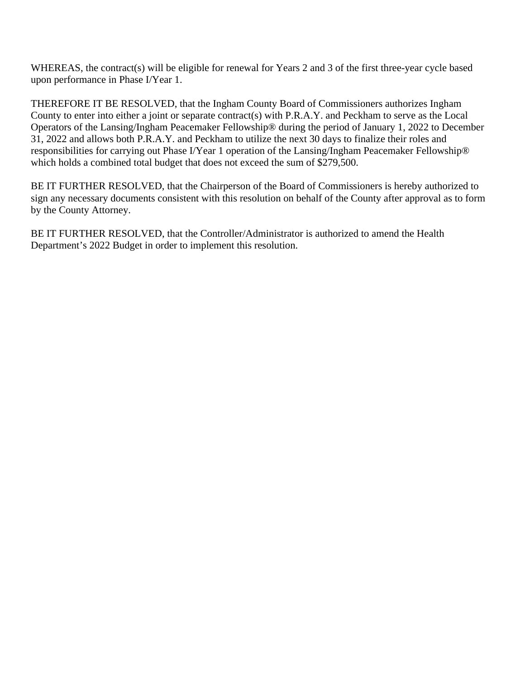WHEREAS, the contract(s) will be eligible for renewal for Years 2 and 3 of the first three-year cycle based upon performance in Phase I/Year 1.

THEREFORE IT BE RESOLVED, that the Ingham County Board of Commissioners authorizes Ingham County to enter into either a joint or separate contract(s) with P.R.A.Y. and Peckham to serve as the Local Operators of the Lansing/Ingham Peacemaker Fellowship® during the period of January 1, 2022 to December 31, 2022 and allows both P.R.A.Y. and Peckham to utilize the next 30 days to finalize their roles and responsibilities for carrying out Phase I/Year 1 operation of the Lansing/Ingham Peacemaker Fellowship® which holds a combined total budget that does not exceed the sum of \$279,500.

BE IT FURTHER RESOLVED, that the Chairperson of the Board of Commissioners is hereby authorized to sign any necessary documents consistent with this resolution on behalf of the County after approval as to form by the County Attorney.

BE IT FURTHER RESOLVED, that the Controller/Administrator is authorized to amend the Health Department's 2022 Budget in order to implement this resolution.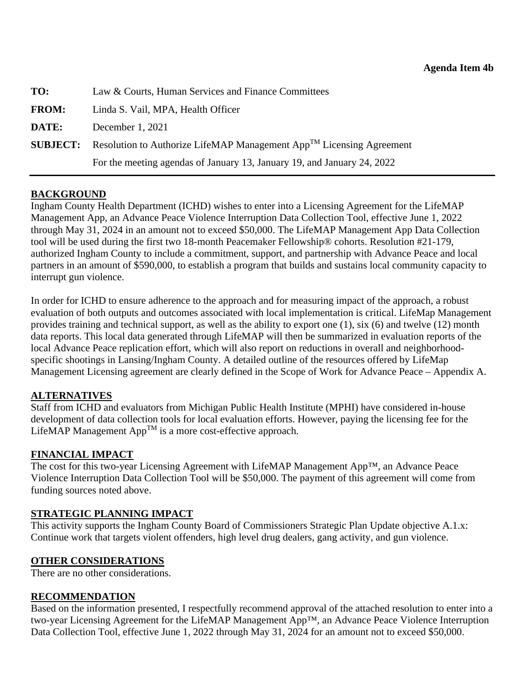<span id="page-32-0"></span>

| TO:             | Law & Courts, Human Services and Finance Committees                       |
|-----------------|---------------------------------------------------------------------------|
| <b>FROM:</b>    | Linda S. Vail, MPA, Health Officer                                        |
| DATE:           | December $1, 2021$                                                        |
| <b>SUBJECT:</b> | Resolution to Authorize LifeMAP Management $App^{TM}$ Licensing Agreement |
|                 | For the meeting agendas of January 13, January 19, and January 24, 2022   |

Ingham County Health Department (ICHD) wishes to enter into a Licensing Agreement for the LifeMAP Management App, an Advance Peace Violence Interruption Data Collection Tool, effective June 1, 2022 through May 31, 2024 in an amount not to exceed \$50,000. The LifeMAP Management App Data Collection tool will be used during the first two 18-month Peacemaker Fellowship® cohorts. Resolution #21-179, authorized Ingham County to include a commitment, support, and partnership with Advance Peace and local partners in an amount of \$590,000, to establish a program that builds and sustains local community capacity to interrupt gun violence.

In order for ICHD to ensure adherence to the approach and for measuring impact of the approach, a robust evaluation of both outputs and outcomes associated with local implementation is critical. LifeMap Management provides training and technical support, as well as the ability to export one (1), six (6) and twelve (12) month data reports. This local data generated through LifeMAP will then be summarized in evaluation reports of the local Advance Peace replication effort, which will also report on reductions in overall and neighborhoodspecific shootings in Lansing/Ingham County. A detailed outline of the resources offered by LifeMap Management Licensing agreement are clearly defined in the Scope of Work for Advance Peace – Appendix A.

# **ALTERNATIVES**

Staff from ICHD and evaluators from Michigan Public Health Institute (MPHI) have considered in-house development of data collection tools for local evaluation efforts. However, paying the licensing fee for the LifeMAP Management AppTM is a more cost-effective approach.

# **FINANCIAL IMPACT**

The cost for this two-year Licensing Agreement with LifeMAP Management App™, an Advance Peace Violence Interruption Data Collection Tool will be \$50,000. The payment of this agreement will come from funding sources noted above.

### **STRATEGIC PLANNING IMPACT**

This activity supports the Ingham County Board of Commissioners Strategic Plan Update objective A.1.x: Continue work that targets violent offenders, high level drug dealers, gang activity, and gun violence.

# **OTHER CONSIDERATIONS**

There are no other considerations.

### **RECOMMENDATION**

Based on the information presented, I respectfully recommend approval of the attached resolution to enter into a two-year Licensing Agreement for the LifeMAP Management App™, an Advance Peace Violence Interruption Data Collection Tool, effective June 1, 2022 through May 31, 2024 for an amount not to exceed \$50,000.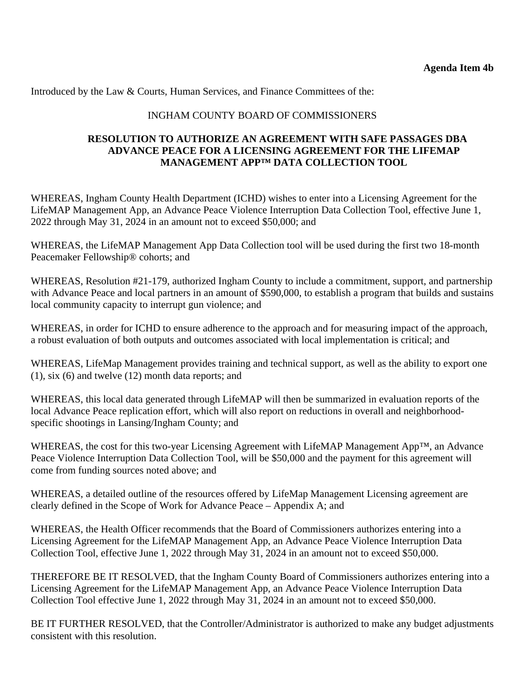Introduced by the Law & Courts, Human Services, and Finance Committees of the:

# INGHAM COUNTY BOARD OF COMMISSIONERS

### **RESOLUTION TO AUTHORIZE AN AGREEMENT WITH SAFE PASSAGES DBA ADVANCE PEACE FOR A LICENSING AGREEMENT FOR THE LIFEMAP MANAGEMENT APP™ DATA COLLECTION TOOL**

WHEREAS, Ingham County Health Department (ICHD) wishes to enter into a Licensing Agreement for the LifeMAP Management App, an Advance Peace Violence Interruption Data Collection Tool, effective June 1, 2022 through May 31, 2024 in an amount not to exceed \$50,000; and

WHEREAS, the LifeMAP Management App Data Collection tool will be used during the first two 18-month Peacemaker Fellowship® cohorts; and

WHEREAS, Resolution #21-179, authorized Ingham County to include a commitment, support, and partnership with Advance Peace and local partners in an amount of \$590,000, to establish a program that builds and sustains local community capacity to interrupt gun violence; and

WHEREAS, in order for ICHD to ensure adherence to the approach and for measuring impact of the approach, a robust evaluation of both outputs and outcomes associated with local implementation is critical; and

WHEREAS, LifeMap Management provides training and technical support, as well as the ability to export one (1), six (6) and twelve (12) month data reports; and

WHEREAS, this local data generated through LifeMAP will then be summarized in evaluation reports of the local Advance Peace replication effort, which will also report on reductions in overall and neighborhoodspecific shootings in Lansing/Ingham County; and

WHEREAS, the cost for this two-year Licensing Agreement with LifeMAP Management App™, an Advance Peace Violence Interruption Data Collection Tool, will be \$50,000 and the payment for this agreement will come from funding sources noted above; and

WHEREAS, a detailed outline of the resources offered by LifeMap Management Licensing agreement are clearly defined in the Scope of Work for Advance Peace – Appendix A; and

WHEREAS, the Health Officer recommends that the Board of Commissioners authorizes entering into a Licensing Agreement for the LifeMAP Management App, an Advance Peace Violence Interruption Data Collection Tool, effective June 1, 2022 through May 31, 2024 in an amount not to exceed \$50,000.

THEREFORE BE IT RESOLVED, that the Ingham County Board of Commissioners authorizes entering into a Licensing Agreement for the LifeMAP Management App, an Advance Peace Violence Interruption Data Collection Tool effective June 1, 2022 through May 31, 2024 in an amount not to exceed \$50,000.

BE IT FURTHER RESOLVED, that the Controller/Administrator is authorized to make any budget adjustments consistent with this resolution.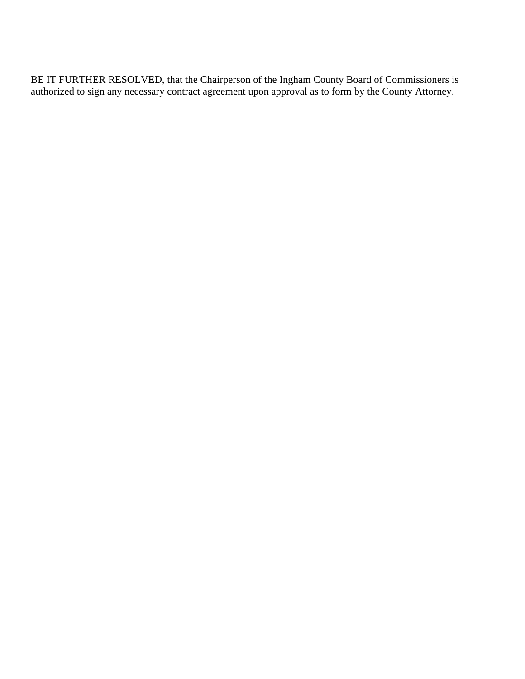BE IT FURTHER RESOLVED, that the Chairperson of the Ingham County Board of Commissioners is authorized to sign any necessary contract agreement upon approval as to form by the County Attorney.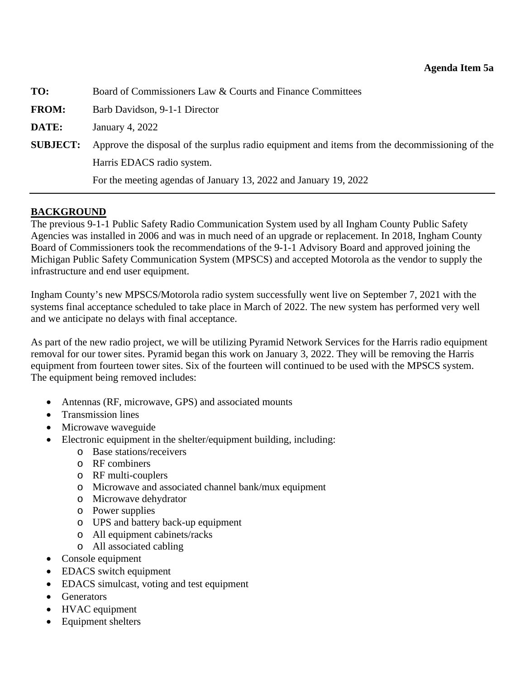<span id="page-35-0"></span>

| TO:             | Board of Commissioners Law & Courts and Finance Committees                                    |
|-----------------|-----------------------------------------------------------------------------------------------|
| <b>FROM:</b>    | Barb Davidson, 9-1-1 Director                                                                 |
| DATE:           | January 4, 2022                                                                               |
| <b>SUBJECT:</b> | Approve the disposal of the surplus radio equipment and items from the decommissioning of the |
|                 | Harris EDACS radio system.                                                                    |
|                 | For the meeting agendas of January 13, 2022 and January 19, 2022                              |

The previous 9-1-1 Public Safety Radio Communication System used by all Ingham County Public Safety Agencies was installed in 2006 and was in much need of an upgrade or replacement. In 2018, Ingham County Board of Commissioners took the recommendations of the 9-1-1 Advisory Board and approved joining the Michigan Public Safety Communication System (MPSCS) and accepted Motorola as the vendor to supply the infrastructure and end user equipment.

Ingham County's new MPSCS/Motorola radio system successfully went live on September 7, 2021 with the systems final acceptance scheduled to take place in March of 2022. The new system has performed very well and we anticipate no delays with final acceptance.

As part of the new radio project, we will be utilizing Pyramid Network Services for the Harris radio equipment removal for our tower sites. Pyramid began this work on January 3, 2022. They will be removing the Harris equipment from fourteen tower sites. Six of the fourteen will continued to be used with the MPSCS system. The equipment being removed includes:

- Antennas (RF, microwave, GPS) and associated mounts
- Transmission lines
- Microwave waveguide
- Electronic equipment in the shelter/equipment building, including:
	- o Base stations/receivers
	- o RF combiners
	- o RF multi-couplers
	- o Microwave and associated channel bank/mux equipment
	- o Microwave dehydrator
	- o Power supplies
	- o UPS and battery back-up equipment
	- o All equipment cabinets/racks
	- o All associated cabling
- Console equipment
- EDACS switch equipment
- EDACS simulcast, voting and test equipment
- Generators
- HVAC equipment
- Equipment shelters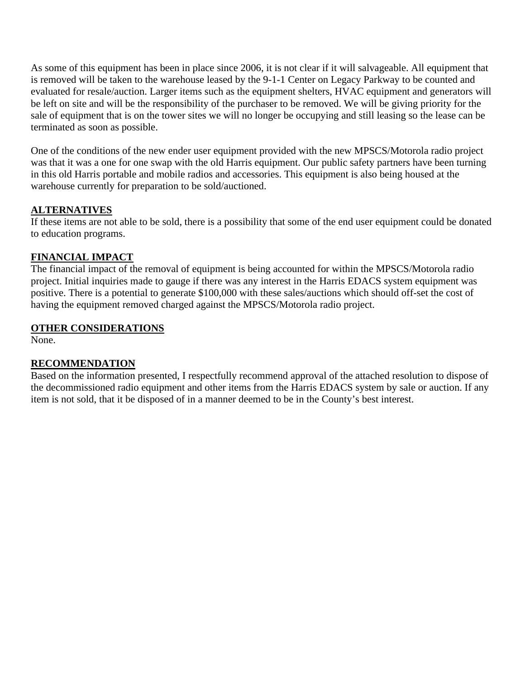As some of this equipment has been in place since 2006, it is not clear if it will salvageable. All equipment that is removed will be taken to the warehouse leased by the 9-1-1 Center on Legacy Parkway to be counted and evaluated for resale/auction. Larger items such as the equipment shelters, HVAC equipment and generators will be left on site and will be the responsibility of the purchaser to be removed. We will be giving priority for the sale of equipment that is on the tower sites we will no longer be occupying and still leasing so the lease can be terminated as soon as possible.

One of the conditions of the new ender user equipment provided with the new MPSCS/Motorola radio project was that it was a one for one swap with the old Harris equipment. Our public safety partners have been turning in this old Harris portable and mobile radios and accessories. This equipment is also being housed at the warehouse currently for preparation to be sold/auctioned.

# **ALTERNATIVES**

If these items are not able to be sold, there is a possibility that some of the end user equipment could be donated to education programs.

# **FINANCIAL IMPACT**

The financial impact of the removal of equipment is being accounted for within the MPSCS/Motorola radio project. Initial inquiries made to gauge if there was any interest in the Harris EDACS system equipment was positive. There is a potential to generate \$100,000 with these sales/auctions which should off-set the cost of having the equipment removed charged against the MPSCS/Motorola radio project.

# **OTHER CONSIDERATIONS**

None.

# **RECOMMENDATION**

Based on the information presented, I respectfully recommend approval of the attached resolution to dispose of the decommissioned radio equipment and other items from the Harris EDACS system by sale or auction. If any item is not sold, that it be disposed of in a manner deemed to be in the County's best interest.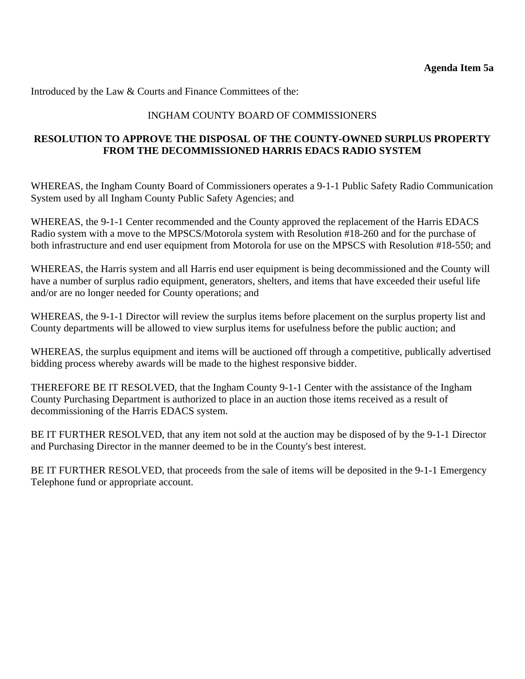# INGHAM COUNTY BOARD OF COMMISSIONERS

# **RESOLUTION TO APPROVE THE DISPOSAL OF THE COUNTY-OWNED SURPLUS PROPERTY FROM THE DECOMMISSIONED HARRIS EDACS RADIO SYSTEM**

WHEREAS, the Ingham County Board of Commissioners operates a 9-1-1 Public Safety Radio Communication System used by all Ingham County Public Safety Agencies; and

WHEREAS, the 9-1-1 Center recommended and the County approved the replacement of the Harris EDACS Radio system with a move to the MPSCS/Motorola system with Resolution #18-260 and for the purchase of both infrastructure and end user equipment from Motorola for use on the MPSCS with Resolution #18-550; and

WHEREAS, the Harris system and all Harris end user equipment is being decommissioned and the County will have a number of surplus radio equipment, generators, shelters, and items that have exceeded their useful life and/or are no longer needed for County operations; and

WHEREAS, the 9-1-1 Director will review the surplus items before placement on the surplus property list and County departments will be allowed to view surplus items for usefulness before the public auction; and

WHEREAS, the surplus equipment and items will be auctioned off through a competitive, publically advertised bidding process whereby awards will be made to the highest responsive bidder.

THEREFORE BE IT RESOLVED, that the Ingham County 9-1-1 Center with the assistance of the Ingham County Purchasing Department is authorized to place in an auction those items received as a result of decommissioning of the Harris EDACS system.

BE IT FURTHER RESOLVED, that any item not sold at the auction may be disposed of by the 9-1-1 Director and Purchasing Director in the manner deemed to be in the County's best interest.

BE IT FURTHER RESOLVED, that proceeds from the sale of items will be deposited in the 9-1-1 Emergency Telephone fund or appropriate account.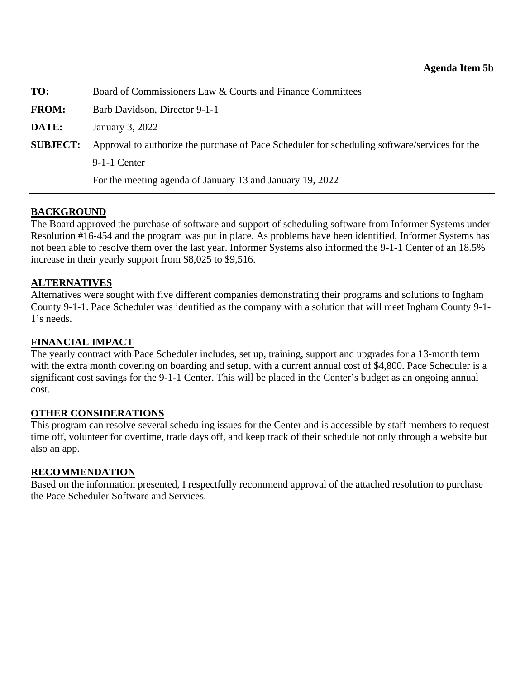<span id="page-38-0"></span>

| TO:             | Board of Commissioners Law & Courts and Finance Committees                                    |
|-----------------|-----------------------------------------------------------------------------------------------|
| <b>FROM:</b>    | Barb Davidson, Director 9-1-1                                                                 |
| DATE:           | January 3, 2022                                                                               |
| <b>SUBJECT:</b> | Approval to authorize the purchase of Pace Scheduler for scheduling software/services for the |
|                 | $9-1-1$ Center                                                                                |
|                 | For the meeting agenda of January 13 and January 19, 2022                                     |

The Board approved the purchase of software and support of scheduling software from Informer Systems under Resolution #16-454 and the program was put in place. As problems have been identified, Informer Systems has not been able to resolve them over the last year. Informer Systems also informed the 9-1-1 Center of an 18.5% increase in their yearly support from \$8,025 to \$9,516.

### **ALTERNATIVES**

Alternatives were sought with five different companies demonstrating their programs and solutions to Ingham County 9-1-1. Pace Scheduler was identified as the company with a solution that will meet Ingham County 9-1- 1's needs.

## **FINANCIAL IMPACT**

The yearly contract with Pace Scheduler includes, set up, training, support and upgrades for a 13-month term with the extra month covering on boarding and setup, with a current annual cost of \$4,800. Pace Scheduler is a significant cost savings for the 9-1-1 Center. This will be placed in the Center's budget as an ongoing annual cost.

### **OTHER CONSIDERATIONS**

This program can resolve several scheduling issues for the Center and is accessible by staff members to request time off, volunteer for overtime, trade days off, and keep track of their schedule not only through a website but also an app.

### **RECOMMENDATION**

Based on the information presented, I respectfully recommend approval of the attached resolution to purchase the Pace Scheduler Software and Services.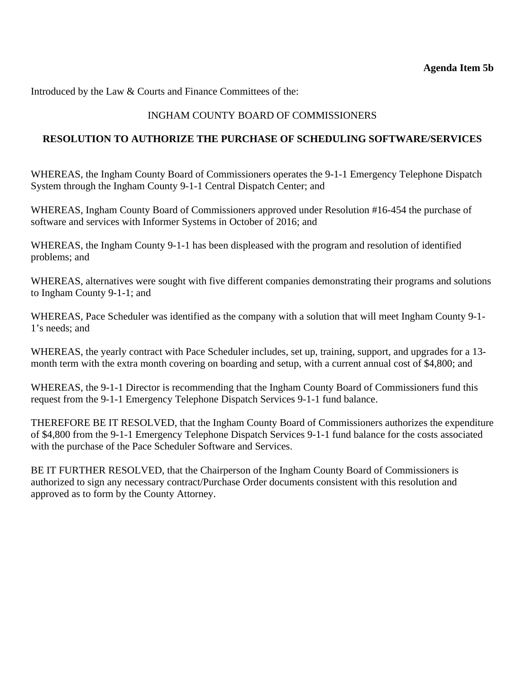# INGHAM COUNTY BOARD OF COMMISSIONERS

# **RESOLUTION TO AUTHORIZE THE PURCHASE OF SCHEDULING SOFTWARE/SERVICES**

WHEREAS, the Ingham County Board of Commissioners operates the 9-1-1 Emergency Telephone Dispatch System through the Ingham County 9-1-1 Central Dispatch Center; and

WHEREAS, Ingham County Board of Commissioners approved under Resolution #16-454 the purchase of software and services with Informer Systems in October of 2016; and

WHEREAS, the Ingham County 9-1-1 has been displeased with the program and resolution of identified problems; and

WHEREAS, alternatives were sought with five different companies demonstrating their programs and solutions to Ingham County 9-1-1; and

WHEREAS, Pace Scheduler was identified as the company with a solution that will meet Ingham County 9-1- 1's needs; and

WHEREAS, the yearly contract with Pace Scheduler includes, set up, training, support, and upgrades for a 13 month term with the extra month covering on boarding and setup, with a current annual cost of \$4,800; and

WHEREAS, the 9-1-1 Director is recommending that the Ingham County Board of Commissioners fund this request from the 9-1-1 Emergency Telephone Dispatch Services 9-1-1 fund balance.

THEREFORE BE IT RESOLVED, that the Ingham County Board of Commissioners authorizes the expenditure of \$4,800 from the 9-1-1 Emergency Telephone Dispatch Services 9-1-1 fund balance for the costs associated with the purchase of the Pace Scheduler Software and Services.

BE IT FURTHER RESOLVED, that the Chairperson of the Ingham County Board of Commissioners is authorized to sign any necessary contract/Purchase Order documents consistent with this resolution and approved as to form by the County Attorney.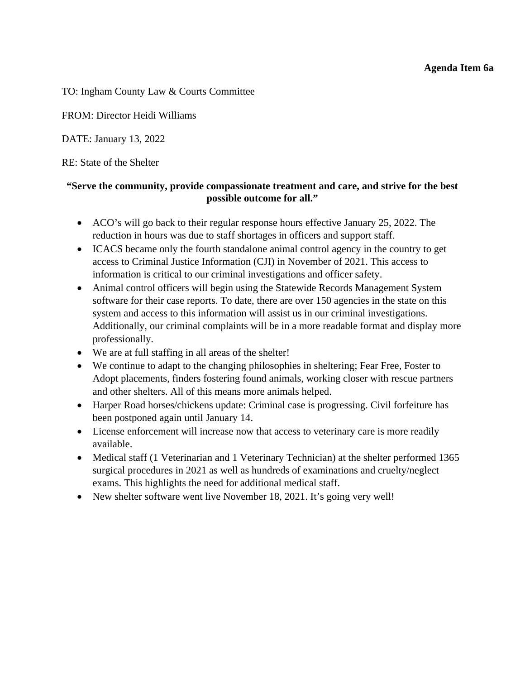### **Agenda Item 6a**

<span id="page-40-0"></span>TO: Ingham County Law & Courts Committee

FROM: Director Heidi Williams

DATE: January 13, 2022

RE: State of the Shelter

# **"Serve the community, provide compassionate treatment and care, and strive for the best possible outcome for all."**

- ACO's will go back to their regular response hours effective January 25, 2022. The reduction in hours was due to staff shortages in officers and support staff.
- ICACS became only the fourth standalone animal control agency in the country to get access to Criminal Justice Information (CJI) in November of 2021. This access to information is critical to our criminal investigations and officer safety.
- Animal control officers will begin using the Statewide Records Management System software for their case reports. To date, there are over 150 agencies in the state on this system and access to this information will assist us in our criminal investigations. Additionally, our criminal complaints will be in a more readable format and display more professionally.
- We are at full staffing in all areas of the shelter!
- We continue to adapt to the changing philosophies in sheltering; Fear Free, Foster to Adopt placements, finders fostering found animals, working closer with rescue partners and other shelters. All of this means more animals helped.
- Harper Road horses/chickens update: Criminal case is progressing. Civil forfeiture has been postponed again until January 14.
- License enforcement will increase now that access to veterinary care is more readily available.
- Medical staff (1 Veterinarian and 1 Veterinary Technician) at the shelter performed 1365 surgical procedures in 2021 as well as hundreds of examinations and cruelty/neglect exams. This highlights the need for additional medical staff.
- New shelter software went live November 18, 2021. It's going very well!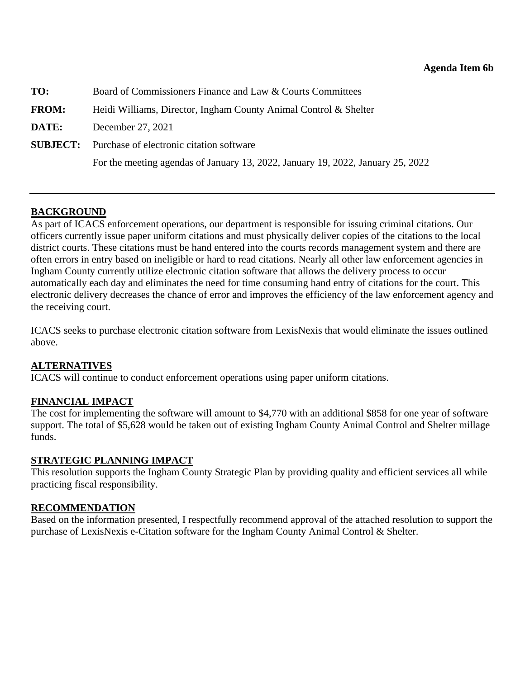<span id="page-41-0"></span>

| TO:          | Board of Commissioners Finance and Law & Courts Committees                      |
|--------------|---------------------------------------------------------------------------------|
| <b>FROM:</b> | Heidi Williams, Director, Ingham County Animal Control & Shelter                |
| <b>DATE:</b> | December 27, 2021                                                               |
|              | <b>SUBJECT:</b> Purchase of electronic citation software                        |
|              | For the meeting agendas of January 13, 2022, January 19, 2022, January 25, 2022 |

As part of ICACS enforcement operations, our department is responsible for issuing criminal citations. Our officers currently issue paper uniform citations and must physically deliver copies of the citations to the local district courts. These citations must be hand entered into the courts records management system and there are often errors in entry based on ineligible or hard to read citations. Nearly all other law enforcement agencies in Ingham County currently utilize electronic citation software that allows the delivery process to occur automatically each day and eliminates the need for time consuming hand entry of citations for the court. This electronic delivery decreases the chance of error and improves the efficiency of the law enforcement agency and the receiving court.

ICACS seeks to purchase electronic citation software from LexisNexis that would eliminate the issues outlined above.

# **ALTERNATIVES**

ICACS will continue to conduct enforcement operations using paper uniform citations.

# **FINANCIAL IMPACT**

The cost for implementing the software will amount to \$4,770 with an additional \$858 for one year of software support. The total of \$5,628 would be taken out of existing Ingham County Animal Control and Shelter millage funds.

# **STRATEGIC PLANNING IMPACT**

This resolution supports the Ingham County Strategic Plan by providing quality and efficient services all while practicing fiscal responsibility.

# **RECOMMENDATION**

Based on the information presented, I respectfully recommend approval of the attached resolution to support the purchase of LexisNexis e-Citation software for the Ingham County Animal Control & Shelter.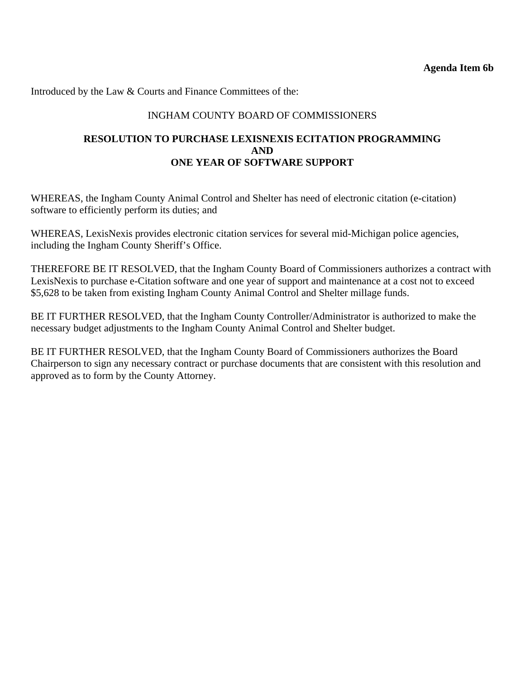# INGHAM COUNTY BOARD OF COMMISSIONERS

## **RESOLUTION TO PURCHASE LEXISNEXIS ECITATION PROGRAMMING AND ONE YEAR OF SOFTWARE SUPPORT**

WHEREAS, the Ingham County Animal Control and Shelter has need of electronic citation (e-citation) software to efficiently perform its duties; and

WHEREAS, LexisNexis provides electronic citation services for several mid-Michigan police agencies, including the Ingham County Sheriff's Office.

THEREFORE BE IT RESOLVED, that the Ingham County Board of Commissioners authorizes a contract with LexisNexis to purchase e-Citation software and one year of support and maintenance at a cost not to exceed \$5,628 to be taken from existing Ingham County Animal Control and Shelter millage funds.

BE IT FURTHER RESOLVED, that the Ingham County Controller/Administrator is authorized to make the necessary budget adjustments to the Ingham County Animal Control and Shelter budget.

BE IT FURTHER RESOLVED, that the Ingham County Board of Commissioners authorizes the Board Chairperson to sign any necessary contract or purchase documents that are consistent with this resolution and approved as to form by the County Attorney.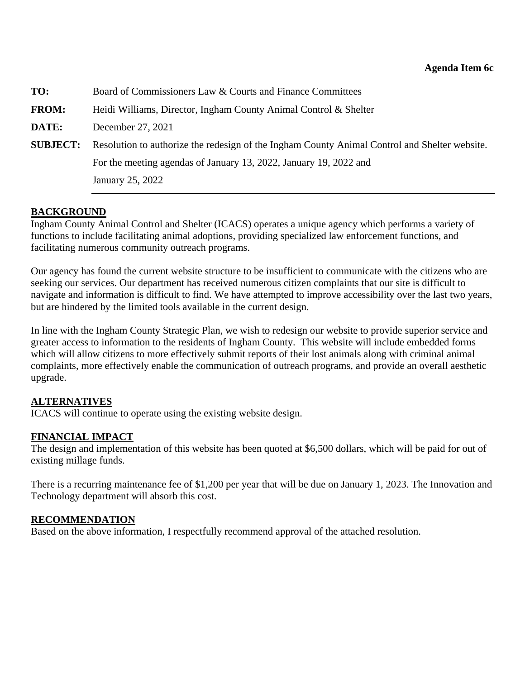<span id="page-43-0"></span>

| TO:             | Board of Commissioners Law & Courts and Finance Committees                                    |
|-----------------|-----------------------------------------------------------------------------------------------|
| <b>FROM:</b>    | Heidi Williams, Director, Ingham County Animal Control & Shelter                              |
| DATE:           | December 27, 2021                                                                             |
| <b>SUBJECT:</b> | Resolution to authorize the redesign of the Ingham County Animal Control and Shelter website. |
|                 | For the meeting agendas of January 13, 2022, January 19, 2022 and                             |
|                 | January 25, 2022                                                                              |

Ingham County Animal Control and Shelter (ICACS) operates a unique agency which performs a variety of functions to include facilitating animal adoptions, providing specialized law enforcement functions, and facilitating numerous community outreach programs.

Our agency has found the current website structure to be insufficient to communicate with the citizens who are seeking our services. Our department has received numerous citizen complaints that our site is difficult to navigate and information is difficult to find. We have attempted to improve accessibility over the last two years, but are hindered by the limited tools available in the current design.

In line with the Ingham County Strategic Plan, we wish to redesign our website to provide superior service and greater access to information to the residents of Ingham County. This website will include embedded forms which will allow citizens to more effectively submit reports of their lost animals along with criminal animal complaints, more effectively enable the communication of outreach programs, and provide an overall aesthetic upgrade.

# **ALTERNATIVES**

ICACS will continue to operate using the existing website design.

# **FINANCIAL IMPACT**

The design and implementation of this website has been quoted at \$6,500 dollars, which will be paid for out of existing millage funds.

There is a recurring maintenance fee of \$1,200 per year that will be due on January 1, 2023. The Innovation and Technology department will absorb this cost.

### **RECOMMENDATION**

Based on the above information, I respectfully recommend approval of the attached resolution.